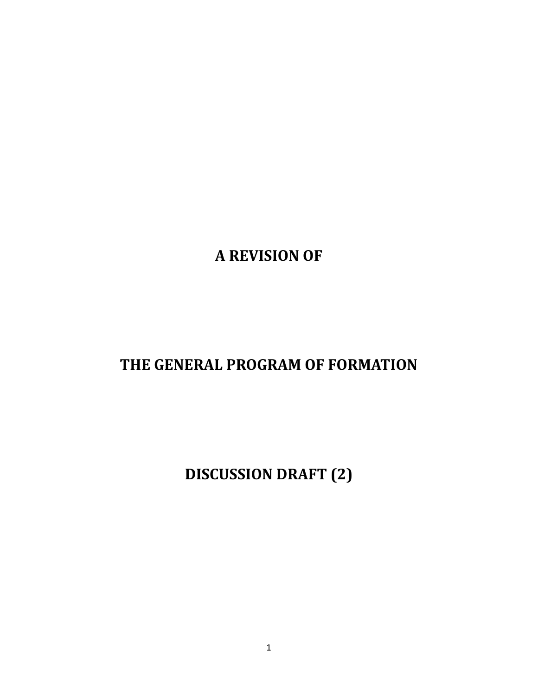**A REVISION OF**

# **THE GENERAL PROGRAM OF FORMATION**

**DISCUSSION DRAFT (2)**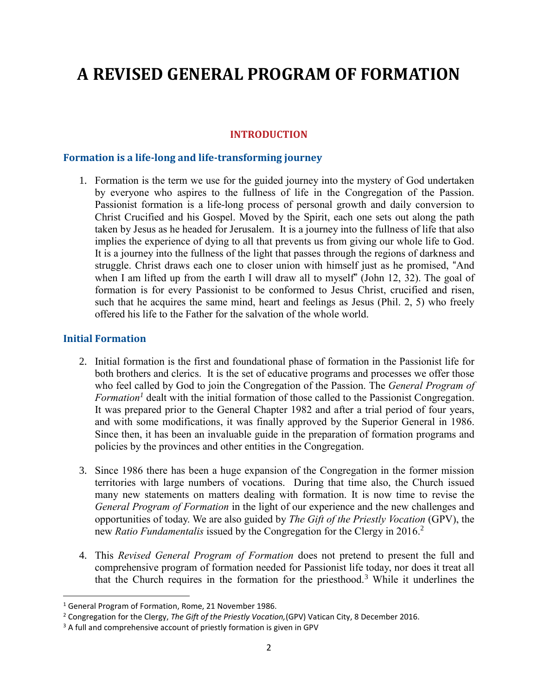# **A REVISED GENERAL PROGRAM OF FORMATION**

## **INTRODUCTION**

#### **Formation is a life-long and life-transforming journey**

1. Formation is the term we use for the guided journey into the mystery of God undertaken by everyone who aspires to the fullness of life in the Congregation of the Passion. Passionist formation is a life-long process of personal growth and daily conversion to Christ Crucified and his Gospel. Moved by the Spirit, each one sets out along the path taken by Jesus as he headed for Jerusalem. It is a journey into the fullness of life that also implies the experience of dying to all that prevents us from giving our whole life to God. It is a journey into the fullness of the light that passes through the regions of darkness and struggle. Christ draws each one to closer union with himself just as he promised, "And when I am lifted up from the earth I will draw all to myself" (John 12, 32). The goal of formation is for every Passionist to be conformed to Jesus Christ, crucified and risen, such that he acquires the same mind, heart and feelings as Jesus (Phil. 2, 5) who freely offered his life to the Father for the salvation of the whole world.

#### **Initial Formation**

 $\overline{a}$ 

- 2. Initial formation is the first and foundational phase of formation in the Passionist life for both brothers and clerics. It is the set of educative programs and processes we offer those who feel called by God to join the Congregation of the Passion. The *General Program of Formation<sup>1</sup>* dealt with the initial formation of those called to the Passionist Congregation. It was prepared prior to the General Chapter 1982 and after a trial period of four years, and with some modifications, it was finally approved by the Superior General in 1986. Since then, it has been an invaluable guide in the preparation of formation programs and policies by the provinces and other entities in the Congregation.
- 3. Since 1986 there has been a huge expansion of the Congregation in the former mission territories with large numbers of vocations. During that time also, the Church issued many new statements on matters dealing with formation. It is now time to revise the *General Program of Formation* in the light of our experience and the new challenges and opportunities of today. We are also guided by *The Gift of the Priestly Vocation* (GPV), the new *Ratio Fundamentalis* issued by the Congregation for the Clergy in 2016. 2
- 4. This *Revised General Program of Formation* does not pretend to present the full and comprehensive program of formation needed for Passionist life today, nor does it treat all that the Church requires in the formation for the priesthood.<sup>3</sup> While it underlines the

<sup>1</sup> General Program of Formation, Rome, 21 November 1986.

<sup>2</sup> Congregation for the Clergy, *The Gift of the Priestly Vocation,*(GPV) Vatican City, 8 December 2016.

<sup>&</sup>lt;sup>3</sup> A full and comprehensive account of priestly formation is given in GPV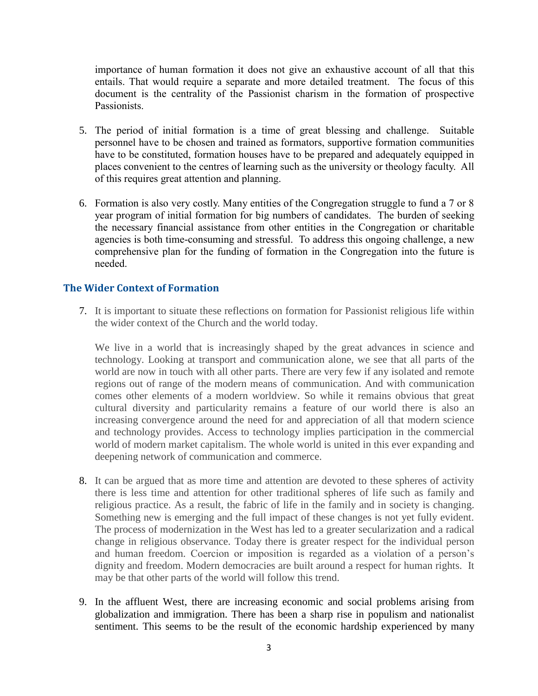importance of human formation it does not give an exhaustive account of all that this entails. That would require a separate and more detailed treatment. The focus of this document is the centrality of the Passionist charism in the formation of prospective Passionists.

- 5. The period of initial formation is a time of great blessing and challenge. Suitable personnel have to be chosen and trained as formators, supportive formation communities have to be constituted, formation houses have to be prepared and adequately equipped in places convenient to the centres of learning such as the university or theology faculty. All of this requires great attention and planning.
- 6. Formation is also very costly. Many entities of the Congregation struggle to fund a 7 or 8 year program of initial formation for big numbers of candidates. The burden of seeking the necessary financial assistance from other entities in the Congregation or charitable agencies is both time-consuming and stressful. To address this ongoing challenge, a new comprehensive plan for the funding of formation in the Congregation into the future is needed.

#### **The Wider Context of Formation**

7. It is important to situate these reflections on formation for Passionist religious life within the wider context of the Church and the world today.

We live in a world that is increasingly shaped by the great advances in science and technology. Looking at transport and communication alone, we see that all parts of the world are now in touch with all other parts. There are very few if any isolated and remote regions out of range of the modern means of communication. And with communication comes other elements of a modern worldview. So while it remains obvious that great cultural diversity and particularity remains a feature of our world there is also an increasing convergence around the need for and appreciation of all that modern science and technology provides. Access to technology implies participation in the commercial world of modern market capitalism. The whole world is united in this ever expanding and deepening network of communication and commerce.

- 8. It can be argued that as more time and attention are devoted to these spheres of activity there is less time and attention for other traditional spheres of life such as family and religious practice. As a result, the fabric of life in the family and in society is changing. Something new is emerging and the full impact of these changes is not yet fully evident. The process of modernization in the West has led to a greater secularization and a radical change in religious observance. Today there is greater respect for the individual person and human freedom. Coercion or imposition is regarded as a violation of a person's dignity and freedom. Modern democracies are built around a respect for human rights. It may be that other parts of the world will follow this trend.
- 9. In the affluent West, there are increasing economic and social problems arising from globalization and immigration. There has been a sharp rise in populism and nationalist sentiment. This seems to be the result of the economic hardship experienced by many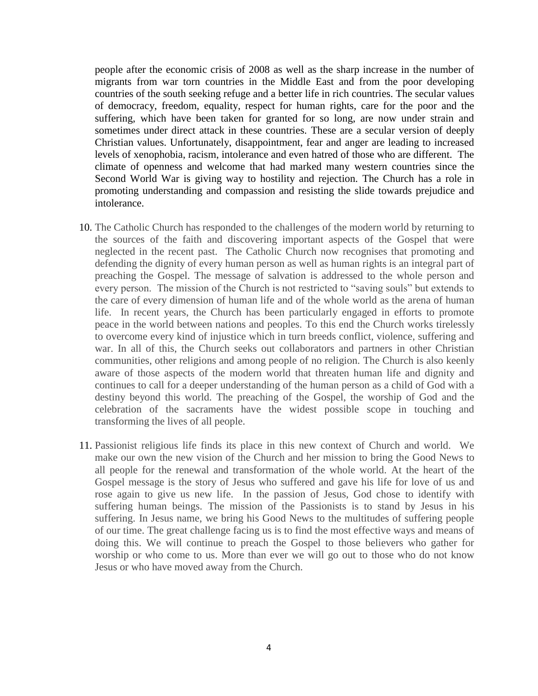people after the economic crisis of 2008 as well as the sharp increase in the number of migrants from war torn countries in the Middle East and from the poor developing countries of the south seeking refuge and a better life in rich countries. The secular values of democracy, freedom, equality, respect for human rights, care for the poor and the suffering, which have been taken for granted for so long, are now under strain and sometimes under direct attack in these countries. These are a secular version of deeply Christian values. Unfortunately, disappointment, fear and anger are leading to increased levels of xenophobia, racism, intolerance and even hatred of those who are different. The climate of openness and welcome that had marked many western countries since the Second World War is giving way to hostility and rejection. The Church has a role in promoting understanding and compassion and resisting the slide towards prejudice and intolerance.

- 10. The Catholic Church has responded to the challenges of the modern world by returning to the sources of the faith and discovering important aspects of the Gospel that were neglected in the recent past. The Catholic Church now recognises that promoting and defending the dignity of every human person as well as human rights is an integral part of preaching the Gospel. The message of salvation is addressed to the whole person and every person. The mission of the Church is not restricted to "saving souls" but extends to the care of every dimension of human life and of the whole world as the arena of human life. In recent years, the Church has been particularly engaged in efforts to promote peace in the world between nations and peoples. To this end the Church works tirelessly to overcome every kind of injustice which in turn breeds conflict, violence, suffering and war. In all of this, the Church seeks out collaborators and partners in other Christian communities, other religions and among people of no religion. The Church is also keenly aware of those aspects of the modern world that threaten human life and dignity and continues to call for a deeper understanding of the human person as a child of God with a destiny beyond this world. The preaching of the Gospel, the worship of God and the celebration of the sacraments have the widest possible scope in touching and transforming the lives of all people.
- 11. Passionist religious life finds its place in this new context of Church and world. We make our own the new vision of the Church and her mission to bring the Good News to all people for the renewal and transformation of the whole world. At the heart of the Gospel message is the story of Jesus who suffered and gave his life for love of us and rose again to give us new life. In the passion of Jesus, God chose to identify with suffering human beings. The mission of the Passionists is to stand by Jesus in his suffering. In Jesus name, we bring his Good News to the multitudes of suffering people of our time. The great challenge facing us is to find the most effective ways and means of doing this. We will continue to preach the Gospel to those believers who gather for worship or who come to us. More than ever we will go out to those who do not know Jesus or who have moved away from the Church.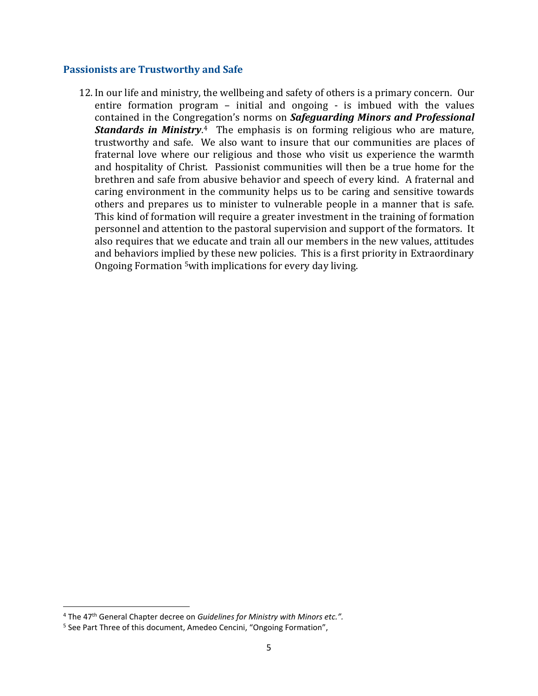#### **Passionists are Trustworthy and Safe**

12. In our life and ministry, the wellbeing and safety of others is a primary concern. Our entire formation program – initial and ongoing - is imbued with the values contained in the Congregation's norms on *Safeguarding Minors and Professional Standards in Ministry*. <sup>4</sup> The emphasis is on forming religious who are mature, trustworthy and safe. We also want to insure that our communities are places of fraternal love where our religious and those who visit us experience the warmth and hospitality of Christ. Passionist communities will then be a true home for the brethren and safe from abusive behavior and speech of every kind. A fraternal and caring environment in the community helps us to be caring and sensitive towards others and prepares us to minister to vulnerable people in a manner that is safe. This kind of formation will require a greater investment in the training of formation personnel and attention to the pastoral supervision and support of the formators. It also requires that we educate and train all our members in the new values, attitudes and behaviors implied by these new policies. This is a first priority in Extraordinary Ongoing Formation 5with implications for every day living.

<sup>&</sup>lt;sup>4</sup> The 47<sup>th</sup> General Chapter decree on *Guidelines for Ministry with Minors etc."*.

<sup>&</sup>lt;sup>5</sup> See Part Three of this document, Amedeo Cencini, "Ongoing Formation",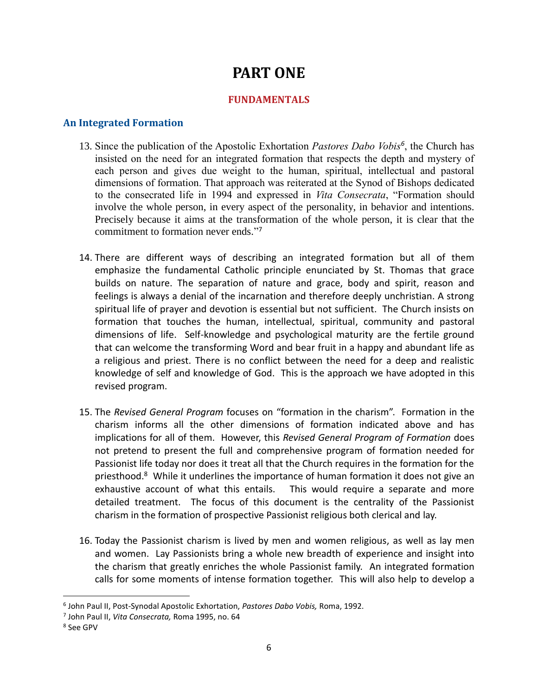# **PART ONE**

## **FUNDAMENTALS**

#### **An Integrated Formation**

- 13. Since the publication of the Apostolic Exhortation *Pastores Dabo Vobis<sup>6</sup>* , the Church has insisted on the need for an integrated formation that respects the depth and mystery of each person and gives due weight to the human, spiritual, intellectual and pastoral dimensions of formation. That approach was reiterated at the Synod of Bishops dedicated to the consecrated life in 1994 and expressed in *Vita Consecrata*, "Formation should involve the whole person, in every aspect of the personality, in behavior and intentions. Precisely because it aims at the transformation of the whole person, it is clear that the commitment to formation never ends." 7
- 14. There are different ways of describing an integrated formation but all of them emphasize the fundamental Catholic principle enunciated by St. Thomas that grace builds on nature. The separation of nature and grace, body and spirit, reason and feelings is always a denial of the incarnation and therefore deeply unchristian. A strong spiritual life of prayer and devotion is essential but not sufficient. The Church insists on formation that touches the human, intellectual, spiritual, community and pastoral dimensions of life. Self-knowledge and psychological maturity are the fertile ground that can welcome the transforming Word and bear fruit in a happy and abundant life as a religious and priest. There is no conflict between the need for a deep and realistic knowledge of self and knowledge of God. This is the approach we have adopted in this revised program.
- 15. The *Revised General Program* focuses on "formation in the charism". Formation in the charism informs all the other dimensions of formation indicated above and has implications for all of them. However, this *Revised General Program of Formation* does not pretend to present the full and comprehensive program of formation needed for Passionist life today nor does it treat all that the Church requires in the formation for the priesthood.<sup>8</sup> While it underlines the importance of human formation it does not give an exhaustive account of what this entails. This would require a separate and more detailed treatment. The focus of this document is the centrality of the Passionist charism in the formation of prospective Passionist religious both clerical and lay.
- 16. Today the Passionist charism is lived by men and women religious, as well as lay men and women. Lay Passionists bring a whole new breadth of experience and insight into the charism that greatly enriches the whole Passionist family. An integrated formation calls for some moments of intense formation together. This will also help to develop a

 $\overline{a}$ 

<sup>6</sup> John Paul II, Post-Synodal Apostolic Exhortation, *Pastores Dabo Vobis,* Roma, 1992.

<sup>7</sup> John Paul II, *Vita Consecrata,* Roma 1995, no. 64

<sup>8</sup> See GPV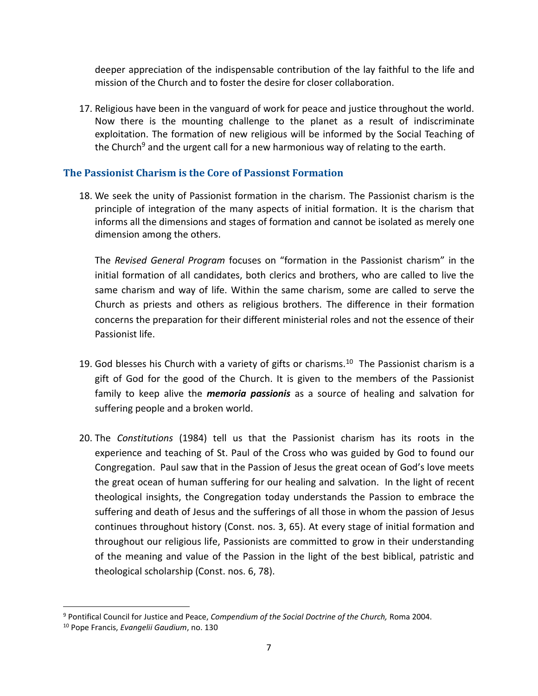deeper appreciation of the indispensable contribution of the lay faithful to the life and mission of the Church and to foster the desire for closer collaboration.

17. Religious have been in the vanguard of work for peace and justice throughout the world. Now there is the mounting challenge to the planet as a result of indiscriminate exploitation. The formation of new religious will be informed by the Social Teaching of the Church<sup>9</sup> and the urgent call for a new harmonious way of relating to the earth.

## **The Passionist Charism is the Core of Passionst Formation**

18. We seek the unity of Passionist formation in the charism. The Passionist charism is the principle of integration of the many aspects of initial formation. It is the charism that informs all the dimensions and stages of formation and cannot be isolated as merely one dimension among the others.

The *Revised General Program* focuses on "formation in the Passionist charism" in the initial formation of all candidates, both clerics and brothers, who are called to live the same charism and way of life. Within the same charism, some are called to serve the Church as priests and others as religious brothers. The difference in their formation concerns the preparation for their different ministerial roles and not the essence of their Passionist life.

- 19. God blesses his Church with a variety of gifts or charisms. $^{10}$  The Passionist charism is a gift of God for the good of the Church. It is given to the members of the Passionist family to keep alive the *memoria passionis* as a source of healing and salvation for suffering people and a broken world.
- 20. The *Constitutions* (1984) tell us that the Passionist charism has its roots in the experience and teaching of St. Paul of the Cross who was guided by God to found our Congregation. Paul saw that in the Passion of Jesus the great ocean of God's love meets the great ocean of human suffering for our healing and salvation. In the light of recent theological insights, the Congregation today understands the Passion to embrace the suffering and death of Jesus and the sufferings of all those in whom the passion of Jesus continues throughout history (Const. nos. 3, 65). At every stage of initial formation and throughout our religious life, Passionists are committed to grow in their understanding of the meaning and value of the Passion in the light of the best biblical, patristic and theological scholarship (Const. nos. 6, 78).

<sup>9</sup> Pontifical Council for Justice and Peace, *Compendium of the Social Doctrine of the Church,* Roma 2004.

<sup>10</sup> Pope Francis, *Evangelii Gaudium*, no. 130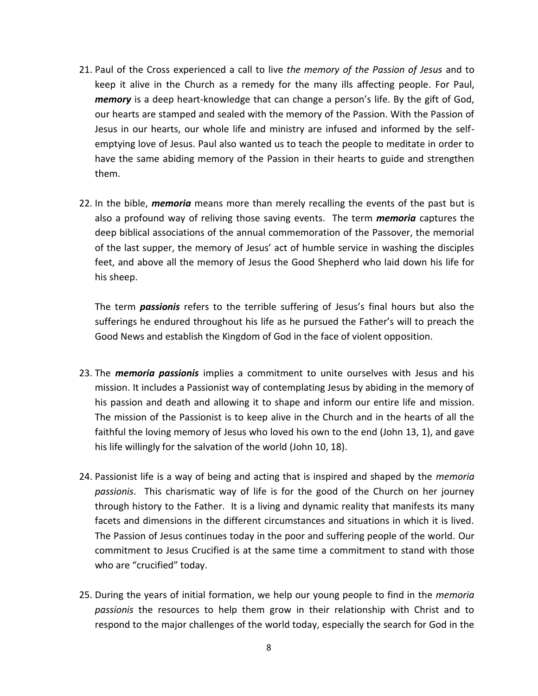- 21. Paul of the Cross experienced a call to live *the memory of the Passion of Jesus* and to keep it alive in the Church as a remedy for the many ills affecting people. For Paul, *memory* is a deep heart-knowledge that can change a person's life. By the gift of God, our hearts are stamped and sealed with the memory of the Passion. With the Passion of Jesus in our hearts, our whole life and ministry are infused and informed by the selfemptying love of Jesus. Paul also wanted us to teach the people to meditate in order to have the same abiding memory of the Passion in their hearts to guide and strengthen them.
- 22. In the bible, *memoria* means more than merely recalling the events of the past but is also a profound way of reliving those saving events. The term *memoria* captures the deep biblical associations of the annual commemoration of the Passover, the memorial of the last supper, the memory of Jesus' act of humble service in washing the disciples feet, and above all the memory of Jesus the Good Shepherd who laid down his life for his sheep.

The term *passionis* refers to the terrible suffering of Jesus's final hours but also the sufferings he endured throughout his life as he pursued the Father's will to preach the Good News and establish the Kingdom of God in the face of violent opposition.

- 23. The *memoria passionis* implies a commitment to unite ourselves with Jesus and his mission. It includes a Passionist way of contemplating Jesus by abiding in the memory of his passion and death and allowing it to shape and inform our entire life and mission. The mission of the Passionist is to keep alive in the Church and in the hearts of all the faithful the loving memory of Jesus who loved his own to the end (John 13, 1), and gave his life willingly for the salvation of the world (John 10, 18).
- 24. Passionist life is a way of being and acting that is inspired and shaped by the *memoria passionis*. This charismatic way of life is for the good of the Church on her journey through history to the Father. It is a living and dynamic reality that manifests its many facets and dimensions in the different circumstances and situations in which it is lived. The Passion of Jesus continues today in the poor and suffering people of the world. Our commitment to Jesus Crucified is at the same time a commitment to stand with those who are "crucified" today.
- 25. During the years of initial formation, we help our young people to find in the *memoria passionis* the resources to help them grow in their relationship with Christ and to respond to the major challenges of the world today, especially the search for God in the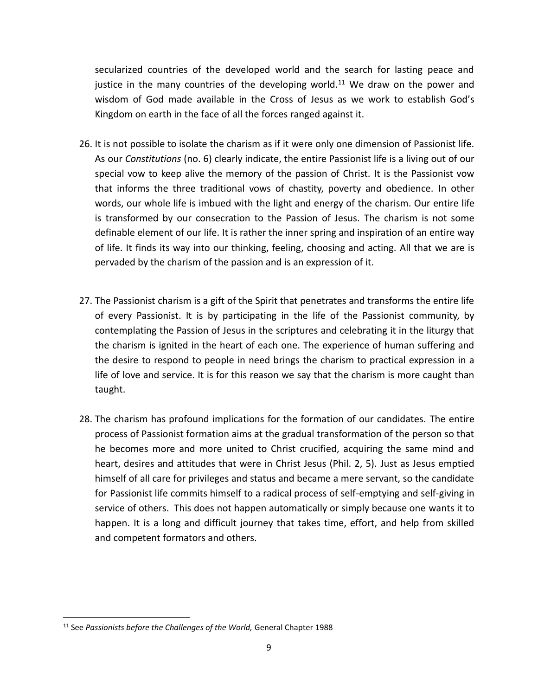secularized countries of the developed world and the search for lasting peace and justice in the many countries of the developing world.<sup>11</sup> We draw on the power and wisdom of God made available in the Cross of Jesus as we work to establish God's Kingdom on earth in the face of all the forces ranged against it.

- 26. It is not possible to isolate the charism as if it were only one dimension of Passionist life. As our *Constitutions* (no. 6) clearly indicate, the entire Passionist life is a living out of our special vow to keep alive the memory of the passion of Christ. It is the Passionist vow that informs the three traditional vows of chastity, poverty and obedience. In other words, our whole life is imbued with the light and energy of the charism. Our entire life is transformed by our consecration to the Passion of Jesus. The charism is not some definable element of our life. It is rather the inner spring and inspiration of an entire way of life. It finds its way into our thinking, feeling, choosing and acting. All that we are is pervaded by the charism of the passion and is an expression of it.
- 27. The Passionist charism is a gift of the Spirit that penetrates and transforms the entire life of every Passionist. It is by participating in the life of the Passionist community, by contemplating the Passion of Jesus in the scriptures and celebrating it in the liturgy that the charism is ignited in the heart of each one. The experience of human suffering and the desire to respond to people in need brings the charism to practical expression in a life of love and service. It is for this reason we say that the charism is more caught than taught.
- 28. The charism has profound implications for the formation of our candidates. The entire process of Passionist formation aims at the gradual transformation of the person so that he becomes more and more united to Christ crucified, acquiring the same mind and heart, desires and attitudes that were in Christ Jesus (Phil. 2, 5). Just as Jesus emptied himself of all care for privileges and status and became a mere servant, so the candidate for Passionist life commits himself to a radical process of self-emptying and self-giving in service of others. This does not happen automatically or simply because one wants it to happen. It is a long and difficult journey that takes time, effort, and help from skilled and competent formators and others.

<sup>&</sup>lt;sup>11</sup> See Passionists before the Challenges of the World, General Chapter 1988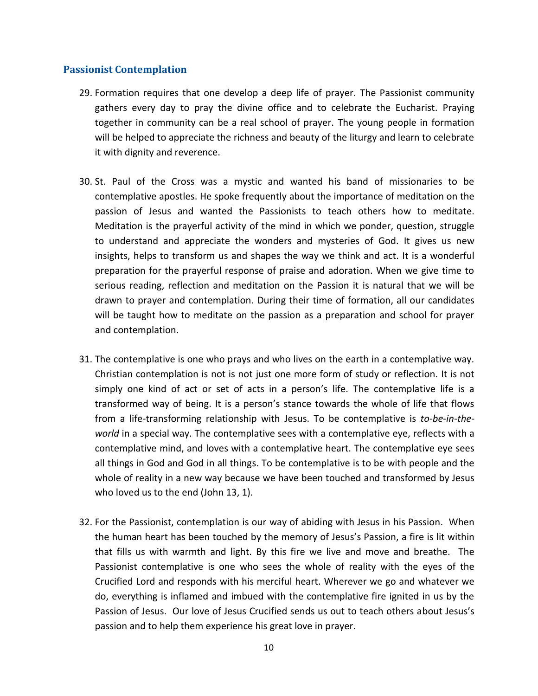#### **Passionist Contemplation**

- 29. Formation requires that one develop a deep life of prayer. The Passionist community gathers every day to pray the divine office and to celebrate the Eucharist. Praying together in community can be a real school of prayer. The young people in formation will be helped to appreciate the richness and beauty of the liturgy and learn to celebrate it with dignity and reverence.
- 30. St. Paul of the Cross was a mystic and wanted his band of missionaries to be contemplative apostles. He spoke frequently about the importance of meditation on the passion of Jesus and wanted the Passionists to teach others how to meditate. Meditation is the prayerful activity of the mind in which we ponder, question, struggle to understand and appreciate the wonders and mysteries of God. It gives us new insights, helps to transform us and shapes the way we think and act. It is a wonderful preparation for the prayerful response of praise and adoration. When we give time to serious reading, reflection and meditation on the Passion it is natural that we will be drawn to prayer and contemplation. During their time of formation, all our candidates will be taught how to meditate on the passion as a preparation and school for prayer and contemplation.
- 31. The contemplative is one who prays and who lives on the earth in a contemplative way. Christian contemplation is not is not just one more form of study or reflection. It is not simply one kind of act or set of acts in a person's life. The contemplative life is a transformed way of being. It is a person's stance towards the whole of life that flows from a life-transforming relationship with Jesus. To be contemplative is *to-be-in-theworld* in a special way. The contemplative sees with a contemplative eye, reflects with a contemplative mind, and loves with a contemplative heart. The contemplative eye sees all things in God and God in all things. To be contemplative is to be with people and the whole of reality in a new way because we have been touched and transformed by Jesus who loved us to the end (John 13, 1).
- 32. For the Passionist, contemplation is our way of abiding with Jesus in his Passion. When the human heart has been touched by the memory of Jesus's Passion, a fire is lit within that fills us with warmth and light. By this fire we live and move and breathe. The Passionist contemplative is one who sees the whole of reality with the eyes of the Crucified Lord and responds with his merciful heart. Wherever we go and whatever we do, everything is inflamed and imbued with the contemplative fire ignited in us by the Passion of Jesus. Our love of Jesus Crucified sends us out to teach others about Jesus's passion and to help them experience his great love in prayer.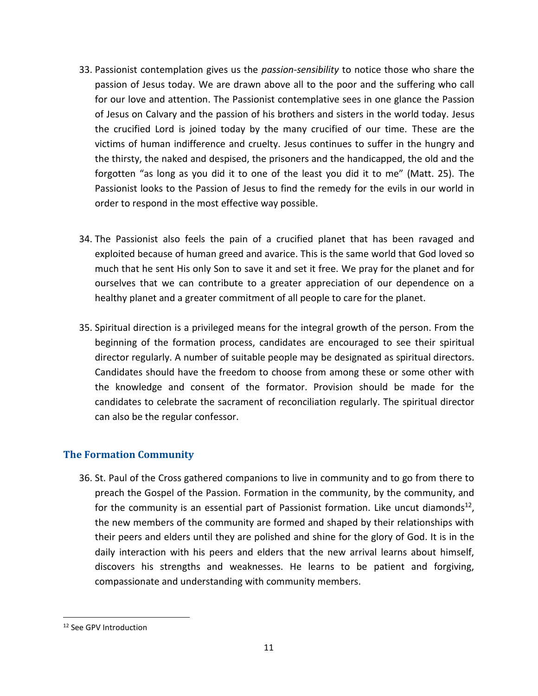- 33. Passionist contemplation gives us the *passion-sensibility* to notice those who share the passion of Jesus today. We are drawn above all to the poor and the suffering who call for our love and attention. The Passionist contemplative sees in one glance the Passion of Jesus on Calvary and the passion of his brothers and sisters in the world today. Jesus the crucified Lord is joined today by the many crucified of our time. These are the victims of human indifference and cruelty. Jesus continues to suffer in the hungry and the thirsty, the naked and despised, the prisoners and the handicapped, the old and the forgotten "as long as you did it to one of the least you did it to me" (Matt. 25). The Passionist looks to the Passion of Jesus to find the remedy for the evils in our world in order to respond in the most effective way possible.
- 34. The Passionist also feels the pain of a crucified planet that has been ravaged and exploited because of human greed and avarice. This is the same world that God loved so much that he sent His only Son to save it and set it free. We pray for the planet and for ourselves that we can contribute to a greater appreciation of our dependence on a healthy planet and a greater commitment of all people to care for the planet.
- 35. Spiritual direction is a privileged means for the integral growth of the person. From the beginning of the formation process, candidates are encouraged to see their spiritual director regularly. A number of suitable people may be designated as spiritual directors. Candidates should have the freedom to choose from among these or some other with the knowledge and consent of the formator. Provision should be made for the candidates to celebrate the sacrament of reconciliation regularly. The spiritual director can also be the regular confessor.

# **The Formation Community**

36. St. Paul of the Cross gathered companions to live in community and to go from there to preach the Gospel of the Passion. Formation in the community, by the community, and for the community is an essential part of Passionist formation. Like uncut diamonds<sup>12</sup>, the new members of the community are formed and shaped by their relationships with their peers and elders until they are polished and shine for the glory of God. It is in the daily interaction with his peers and elders that the new arrival learns about himself, discovers his strengths and weaknesses. He learns to be patient and forgiving, compassionate and understanding with community members.

<sup>&</sup>lt;sup>12</sup> See GPV Introduction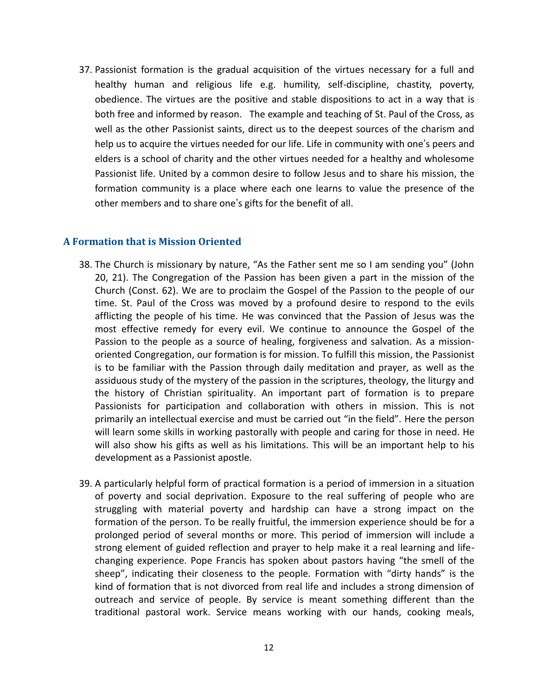37. Passionist formation is the gradual acquisition of the virtues necessary for a full and healthy human and religious life e.g. humility, self-discipline, chastity, poverty, obedience. The virtues are the positive and stable dispositions to act in a way that is both free and informed by reason. The example and teaching of St. Paul of the Cross, as well as the other Passionist saints, direct us to the deepest sources of the charism and help us to acquire the virtues needed for our life. Life in community with one's peers and elders is a school of charity and the other virtues needed for a healthy and wholesome Passionist life. United by a common desire to follow Jesus and to share his mission, the formation community is a place where each one learns to value the presence of the other members and to share one's gifts for the benefit of all.

#### **A Formation that is Mission Oriented**

- 38. The Church is missionary by nature, "As the Father sent me so I am sending you" (John 20, 21). The Congregation of the Passion has been given a part in the mission of the Church (Const. 62). We are to proclaim the Gospel of the Passion to the people of our time. St. Paul of the Cross was moved by a profound desire to respond to the evils afflicting the people of his time. He was convinced that the Passion of Jesus was the most effective remedy for every evil. We continue to announce the Gospel of the Passion to the people as a source of healing, forgiveness and salvation. As a missionoriented Congregation, our formation is for mission. To fulfill this mission, the Passionist is to be familiar with the Passion through daily meditation and prayer, as well as the assiduous study of the mystery of the passion in the scriptures, theology, the liturgy and the history of Christian spirituality. An important part of formation is to prepare Passionists for participation and collaboration with others in mission. This is not primarily an intellectual exercise and must be carried out "in the field". Here the person will learn some skills in working pastorally with people and caring for those in need. He will also show his gifts as well as his limitations. This will be an important help to his development as a Passionist apostle.
- 39. A particularly helpful form of practical formation is a period of immersion in a situation of poverty and social deprivation. Exposure to the real suffering of people who are struggling with material poverty and hardship can have a strong impact on the formation of the person. To be really fruitful, the immersion experience should be for a prolonged period of several months or more. This period of immersion will include a strong element of guided reflection and prayer to help make it a real learning and lifechanging experience. Pope Francis has spoken about pastors having "the smell of the sheep", indicating their closeness to the people. Formation with "dirty hands" is the kind of formation that is not divorced from real life and includes a strong dimension of outreach and service of people. By service is meant something different than the traditional pastoral work. Service means working with our hands, cooking meals,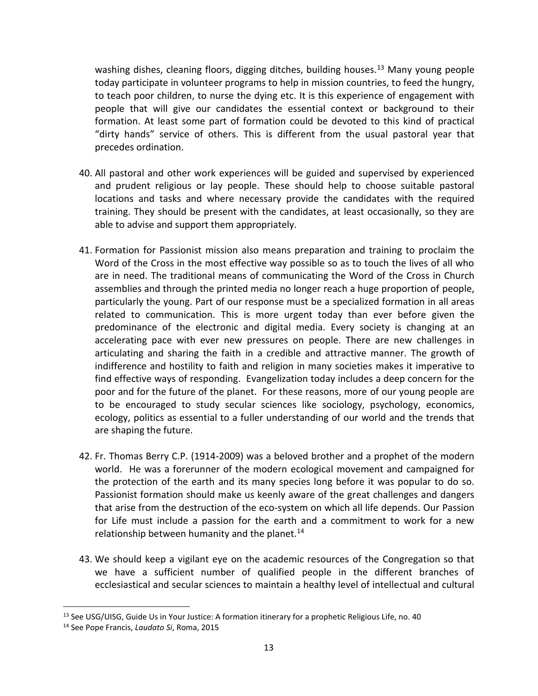washing dishes, cleaning floors, digging ditches, building houses.<sup>13</sup> Many young people today participate in volunteer programs to help in mission countries, to feed the hungry, to teach poor children, to nurse the dying etc. It is this experience of engagement with people that will give our candidates the essential context or background to their formation. At least some part of formation could be devoted to this kind of practical "dirty hands" service of others. This is different from the usual pastoral year that precedes ordination.

- 40. All pastoral and other work experiences will be guided and supervised by experienced and prudent religious or lay people. These should help to choose suitable pastoral locations and tasks and where necessary provide the candidates with the required training. They should be present with the candidates, at least occasionally, so they are able to advise and support them appropriately.
- 41. Formation for Passionist mission also means preparation and training to proclaim the Word of the Cross in the most effective way possible so as to touch the lives of all who are in need. The traditional means of communicating the Word of the Cross in Church assemblies and through the printed media no longer reach a huge proportion of people, particularly the young. Part of our response must be a specialized formation in all areas related to communication. This is more urgent today than ever before given the predominance of the electronic and digital media. Every society is changing at an accelerating pace with ever new pressures on people. There are new challenges in articulating and sharing the faith in a credible and attractive manner. The growth of indifference and hostility to faith and religion in many societies makes it imperative to find effective ways of responding. Evangelization today includes a deep concern for the poor and for the future of the planet. For these reasons, more of our young people are to be encouraged to study secular sciences like sociology, psychology, economics, ecology, politics as essential to a fuller understanding of our world and the trends that are shaping the future.
- 42. Fr. Thomas Berry C.P. (1914-2009) was a beloved brother and a prophet of the modern world. He was a forerunner of the modern ecological movement and campaigned for the protection of the earth and its many species long before it was popular to do so. Passionist formation should make us keenly aware of the great challenges and dangers that arise from the destruction of the eco-system on which all life depends. Our Passion for Life must include a passion for the earth and a commitment to work for a new relationship between humanity and the planet.<sup>14</sup>
- 43. We should keep a vigilant eye on the academic resources of the Congregation so that we have a sufficient number of qualified people in the different branches of ecclesiastical and secular sciences to maintain a healthy level of intellectual and cultural

<sup>&</sup>lt;sup>13</sup> See USG/UISG, Guide Us in Your Justice: A formation itinerary for a prophetic Religious Life, no. 40

<sup>14</sup> See Pope Francis, *Laudato Si*, Roma, 2015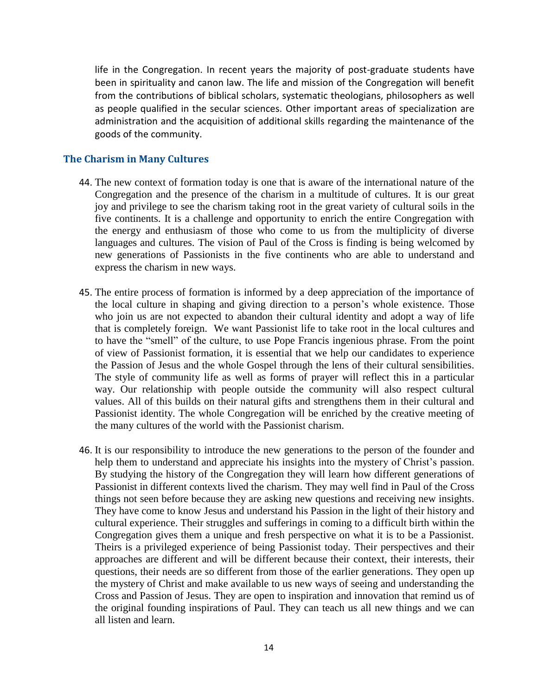life in the Congregation. In recent years the majority of post-graduate students have been in spirituality and canon law. The life and mission of the Congregation will benefit from the contributions of biblical scholars, systematic theologians, philosophers as well as people qualified in the secular sciences. Other important areas of specialization are administration and the acquisition of additional skills regarding the maintenance of the goods of the community.

#### **The Charism in Many Cultures**

- 44. The new context of formation today is one that is aware of the international nature of the Congregation and the presence of the charism in a multitude of cultures. It is our great joy and privilege to see the charism taking root in the great variety of cultural soils in the five continents. It is a challenge and opportunity to enrich the entire Congregation with the energy and enthusiasm of those who come to us from the multiplicity of diverse languages and cultures. The vision of Paul of the Cross is finding is being welcomed by new generations of Passionists in the five continents who are able to understand and express the charism in new ways.
- 45. The entire process of formation is informed by a deep appreciation of the importance of the local culture in shaping and giving direction to a person's whole existence. Those who join us are not expected to abandon their cultural identity and adopt a way of life that is completely foreign. We want Passionist life to take root in the local cultures and to have the "smell" of the culture, to use Pope Francis ingenious phrase. From the point of view of Passionist formation, it is essential that we help our candidates to experience the Passion of Jesus and the whole Gospel through the lens of their cultural sensibilities. The style of community life as well as forms of prayer will reflect this in a particular way. Our relationship with people outside the community will also respect cultural values. All of this builds on their natural gifts and strengthens them in their cultural and Passionist identity. The whole Congregation will be enriched by the creative meeting of the many cultures of the world with the Passionist charism.
- 46. It is our responsibility to introduce the new generations to the person of the founder and help them to understand and appreciate his insights into the mystery of Christ's passion. By studying the history of the Congregation they will learn how different generations of Passionist in different contexts lived the charism. They may well find in Paul of the Cross things not seen before because they are asking new questions and receiving new insights. They have come to know Jesus and understand his Passion in the light of their history and cultural experience. Their struggles and sufferings in coming to a difficult birth within the Congregation gives them a unique and fresh perspective on what it is to be a Passionist. Theirs is a privileged experience of being Passionist today. Their perspectives and their approaches are different and will be different because their context, their interests, their questions, their needs are so different from those of the earlier generations. They open up the mystery of Christ and make available to us new ways of seeing and understanding the Cross and Passion of Jesus. They are open to inspiration and innovation that remind us of the original founding inspirations of Paul. They can teach us all new things and we can all listen and learn.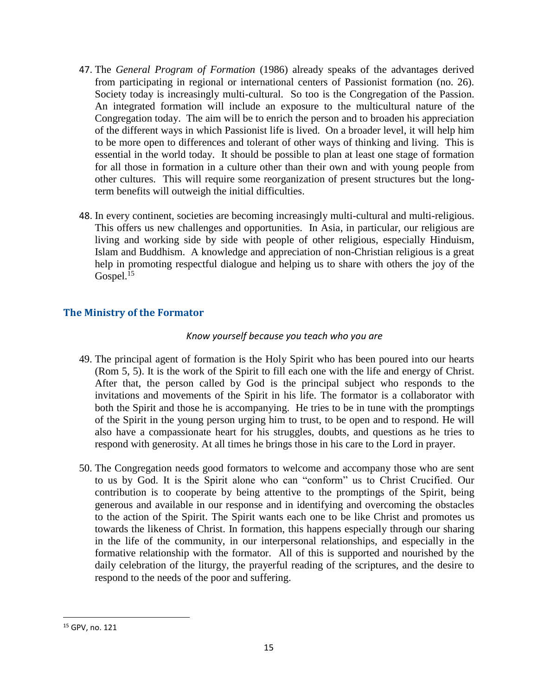- 47. The *General Program of Formation* (1986) already speaks of the advantages derived from participating in regional or international centers of Passionist formation (no. 26). Society today is increasingly multi-cultural. So too is the Congregation of the Passion. An integrated formation will include an exposure to the multicultural nature of the Congregation today. The aim will be to enrich the person and to broaden his appreciation of the different ways in which Passionist life is lived. On a broader level, it will help him to be more open to differences and tolerant of other ways of thinking and living. This is essential in the world today. It should be possible to plan at least one stage of formation for all those in formation in a culture other than their own and with young people from other cultures. This will require some reorganization of present structures but the longterm benefits will outweigh the initial difficulties.
- 48. In every continent, societies are becoming increasingly multi-cultural and multi-religious. This offers us new challenges and opportunities. In Asia, in particular, our religious are living and working side by side with people of other religious, especially Hinduism, Islam and Buddhism. A knowledge and appreciation of non-Christian religious is a great help in promoting respectful dialogue and helping us to share with others the joy of the Gospel. $15$

# **The Ministry of the Formator**

## *Know yourself because you teach who you are*

- 49. The principal agent of formation is the Holy Spirit who has been poured into our hearts (Rom 5, 5). It is the work of the Spirit to fill each one with the life and energy of Christ. After that, the person called by God is the principal subject who responds to the invitations and movements of the Spirit in his life. The formator is a collaborator with both the Spirit and those he is accompanying. He tries to be in tune with the promptings of the Spirit in the young person urging him to trust, to be open and to respond. He will also have a compassionate heart for his struggles, doubts, and questions as he tries to respond with generosity. At all times he brings those in his care to the Lord in prayer.
- 50. The Congregation needs good formators to welcome and accompany those who are sent to us by God. It is the Spirit alone who can "conform" us to Christ Crucified. Our contribution is to cooperate by being attentive to the promptings of the Spirit, being generous and available in our response and in identifying and overcoming the obstacles to the action of the Spirit. The Spirit wants each one to be like Christ and promotes us towards the likeness of Christ. In formation, this happens especially through our sharing in the life of the community, in our interpersonal relationships, and especially in the formative relationship with the formator. All of this is supported and nourished by the daily celebration of the liturgy, the prayerful reading of the scriptures, and the desire to respond to the needs of the poor and suffering.

<sup>15</sup> GPV, no. 121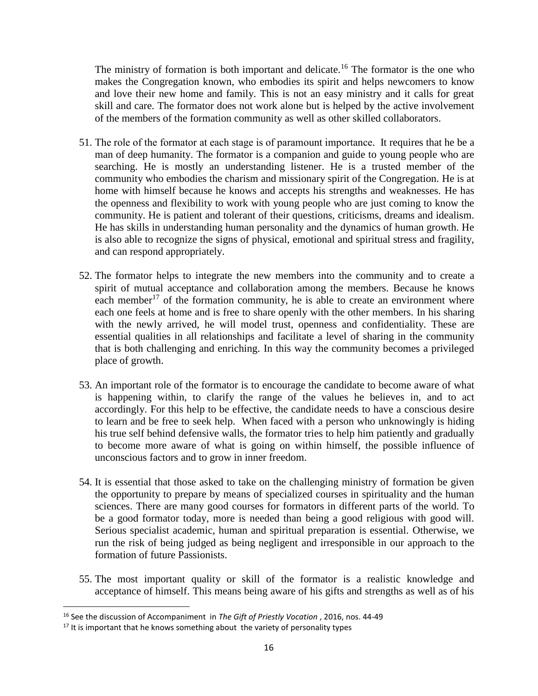The ministry of formation is both important and delicate.<sup>16</sup> The formator is the one who makes the Congregation known, who embodies its spirit and helps newcomers to know and love their new home and family. This is not an easy ministry and it calls for great skill and care. The formator does not work alone but is helped by the active involvement of the members of the formation community as well as other skilled collaborators.

- 51. The role of the formator at each stage is of paramount importance. It requires that he be a man of deep humanity. The formator is a companion and guide to young people who are searching. He is mostly an understanding listener. He is a trusted member of the community who embodies the charism and missionary spirit of the Congregation. He is at home with himself because he knows and accepts his strengths and weaknesses. He has the openness and flexibility to work with young people who are just coming to know the community. He is patient and tolerant of their questions, criticisms, dreams and idealism. He has skills in understanding human personality and the dynamics of human growth. He is also able to recognize the signs of physical, emotional and spiritual stress and fragility, and can respond appropriately.
- 52. The formator helps to integrate the new members into the community and to create a spirit of mutual acceptance and collaboration among the members. Because he knows each member<sup>17</sup> of the formation community, he is able to create an environment where each one feels at home and is free to share openly with the other members. In his sharing with the newly arrived, he will model trust, openness and confidentiality. These are essential qualities in all relationships and facilitate a level of sharing in the community that is both challenging and enriching. In this way the community becomes a privileged place of growth.
- 53. An important role of the formator is to encourage the candidate to become aware of what is happening within, to clarify the range of the values he believes in, and to act accordingly. For this help to be effective, the candidate needs to have a conscious desire to learn and be free to seek help. When faced with a person who unknowingly is hiding his true self behind defensive walls, the formator tries to help him patiently and gradually to become more aware of what is going on within himself, the possible influence of unconscious factors and to grow in inner freedom.
- 54. It is essential that those asked to take on the challenging ministry of formation be given the opportunity to prepare by means of specialized courses in spirituality and the human sciences. There are many good courses for formators in different parts of the world. To be a good formator today, more is needed than being a good religious with good will. Serious specialist academic, human and spiritual preparation is essential. Otherwise, we run the risk of being judged as being negligent and irresponsible in our approach to the formation of future Passionists.
- 55. The most important quality or skill of the formator is a realistic knowledge and acceptance of himself. This means being aware of his gifts and strengths as well as of his

<sup>16</sup> See the discussion of Accompaniment in *The Gift of Priestly Vocation* , 2016, nos. 44-49

 $17$  It is important that he knows something about the variety of personality types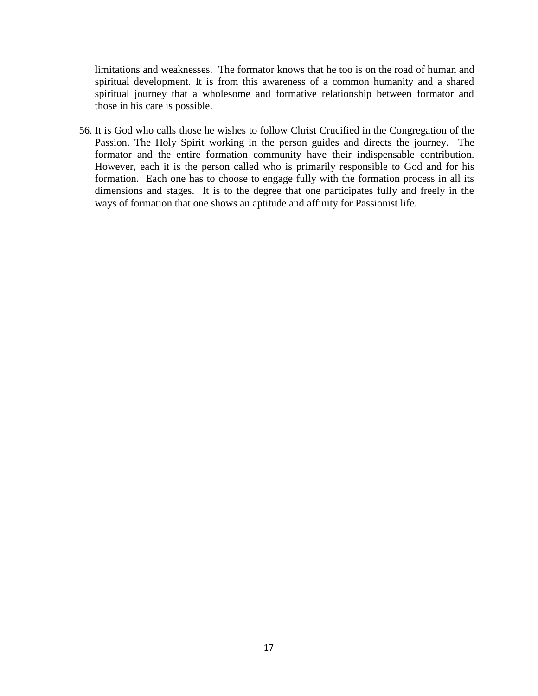limitations and weaknesses. The formator knows that he too is on the road of human and spiritual development. It is from this awareness of a common humanity and a shared spiritual journey that a wholesome and formative relationship between formator and those in his care is possible.

56. It is God who calls those he wishes to follow Christ Crucified in the Congregation of the Passion. The Holy Spirit working in the person guides and directs the journey. The formator and the entire formation community have their indispensable contribution. However, each it is the person called who is primarily responsible to God and for his formation. Each one has to choose to engage fully with the formation process in all its dimensions and stages. It is to the degree that one participates fully and freely in the ways of formation that one shows an aptitude and affinity for Passionist life.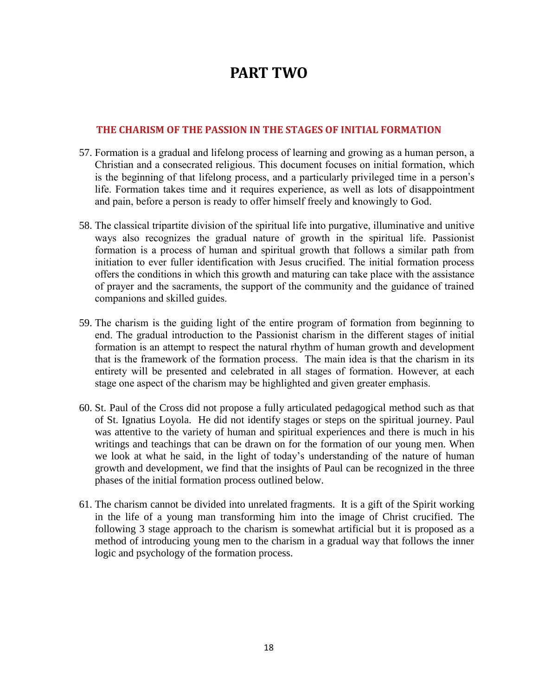# **PART TWO**

#### **THE CHARISM OF THE PASSION IN THE STAGES OF INITIAL FORMATION**

- 57. Formation is a gradual and lifelong process of learning and growing as a human person, a Christian and a consecrated religious. This document focuses on initial formation, which is the beginning of that lifelong process, and a particularly privileged time in a person's life. Formation takes time and it requires experience, as well as lots of disappointment and pain, before a person is ready to offer himself freely and knowingly to God.
- 58. The classical tripartite division of the spiritual life into purgative, illuminative and unitive ways also recognizes the gradual nature of growth in the spiritual life. Passionist formation is a process of human and spiritual growth that follows a similar path from initiation to ever fuller identification with Jesus crucified. The initial formation process offers the conditions in which this growth and maturing can take place with the assistance of prayer and the sacraments, the support of the community and the guidance of trained companions and skilled guides.
- 59. The charism is the guiding light of the entire program of formation from beginning to end. The gradual introduction to the Passionist charism in the different stages of initial formation is an attempt to respect the natural rhythm of human growth and development that is the framework of the formation process. The main idea is that the charism in its entirety will be presented and celebrated in all stages of formation. However, at each stage one aspect of the charism may be highlighted and given greater emphasis.
- 60. St. Paul of the Cross did not propose a fully articulated pedagogical method such as that of St. Ignatius Loyola. He did not identify stages or steps on the spiritual journey. Paul was attentive to the variety of human and spiritual experiences and there is much in his writings and teachings that can be drawn on for the formation of our young men. When we look at what he said, in the light of today's understanding of the nature of human growth and development, we find that the insights of Paul can be recognized in the three phases of the initial formation process outlined below.
- 61. The charism cannot be divided into unrelated fragments. It is a gift of the Spirit working in the life of a young man transforming him into the image of Christ crucified. The following 3 stage approach to the charism is somewhat artificial but it is proposed as a method of introducing young men to the charism in a gradual way that follows the inner logic and psychology of the formation process.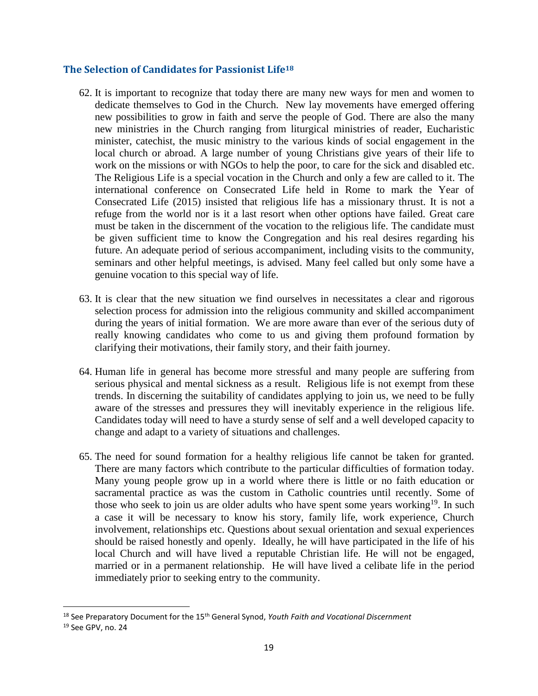## **The Selection of Candidates for Passionist Life<sup>18</sup>**

- 62. It is important to recognize that today there are many new ways for men and women to dedicate themselves to God in the Church. New lay movements have emerged offering new possibilities to grow in faith and serve the people of God. There are also the many new ministries in the Church ranging from liturgical ministries of reader, Eucharistic minister, catechist, the music ministry to the various kinds of social engagement in the local church or abroad. A large number of young Christians give years of their life to work on the missions or with NGOs to help the poor, to care for the sick and disabled etc. The Religious Life is a special vocation in the Church and only a few are called to it. The international conference on Consecrated Life held in Rome to mark the Year of Consecrated Life (2015) insisted that religious life has a missionary thrust. It is not a refuge from the world nor is it a last resort when other options have failed. Great care must be taken in the discernment of the vocation to the religious life. The candidate must be given sufficient time to know the Congregation and his real desires regarding his future. An adequate period of serious accompaniment, including visits to the community, seminars and other helpful meetings, is advised. Many feel called but only some have a genuine vocation to this special way of life.
- 63. It is clear that the new situation we find ourselves in necessitates a clear and rigorous selection process for admission into the religious community and skilled accompaniment during the years of initial formation. We are more aware than ever of the serious duty of really knowing candidates who come to us and giving them profound formation by clarifying their motivations, their family story, and their faith journey.
- 64. Human life in general has become more stressful and many people are suffering from serious physical and mental sickness as a result. Religious life is not exempt from these trends. In discerning the suitability of candidates applying to join us, we need to be fully aware of the stresses and pressures they will inevitably experience in the religious life. Candidates today will need to have a sturdy sense of self and a well developed capacity to change and adapt to a variety of situations and challenges.
- 65. The need for sound formation for a healthy religious life cannot be taken for granted. There are many factors which contribute to the particular difficulties of formation today. Many young people grow up in a world where there is little or no faith education or sacramental practice as was the custom in Catholic countries until recently. Some of those who seek to join us are older adults who have spent some years working<sup>19</sup>. In such a case it will be necessary to know his story, family life, work experience, Church involvement, relationships etc. Questions about sexual orientation and sexual experiences should be raised honestly and openly. Ideally, he will have participated in the life of his local Church and will have lived a reputable Christian life. He will not be engaged, married or in a permanent relationship. He will have lived a celibate life in the period immediately prior to seeking entry to the community.

<sup>&</sup>lt;sup>18</sup> See Preparatory Document for the 15<sup>th</sup> General Synod, *Youth Faith and Vocational Discernment* 

<sup>19</sup> See GPV, no. 24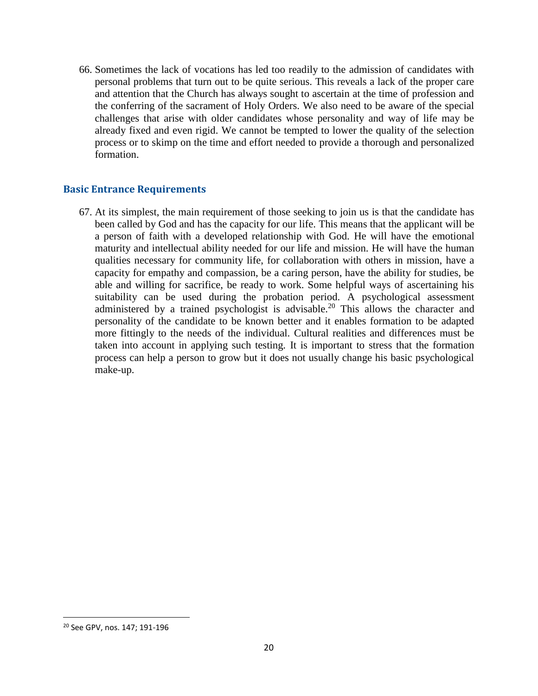66. Sometimes the lack of vocations has led too readily to the admission of candidates with personal problems that turn out to be quite serious. This reveals a lack of the proper care and attention that the Church has always sought to ascertain at the time of profession and the conferring of the sacrament of Holy Orders. We also need to be aware of the special challenges that arise with older candidates whose personality and way of life may be already fixed and even rigid. We cannot be tempted to lower the quality of the selection process or to skimp on the time and effort needed to provide a thorough and personalized formation.

#### **Basic Entrance Requirements**

67. At its simplest, the main requirement of those seeking to join us is that the candidate has been called by God and has the capacity for our life. This means that the applicant will be a person of faith with a developed relationship with God. He will have the emotional maturity and intellectual ability needed for our life and mission. He will have the human qualities necessary for community life, for collaboration with others in mission, have a capacity for empathy and compassion, be a caring person, have the ability for studies, be able and willing for sacrifice, be ready to work. Some helpful ways of ascertaining his suitability can be used during the probation period. A psychological assessment administered by a trained psychologist is advisable.<sup>20</sup> This allows the character and personality of the candidate to be known better and it enables formation to be adapted more fittingly to the needs of the individual. Cultural realities and differences must be taken into account in applying such testing. It is important to stress that the formation process can help a person to grow but it does not usually change his basic psychological make-up.

<sup>20</sup> See GPV, nos. 147; 191-196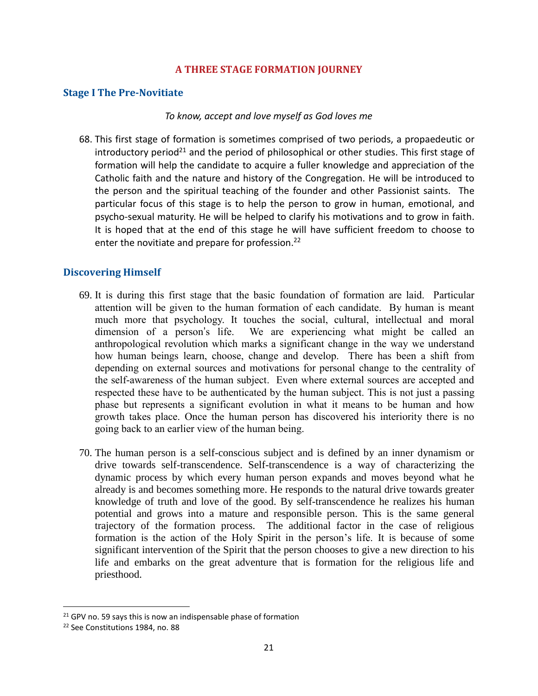## **A THREE STAGE FORMATION JOURNEY**

#### **Stage I The Pre-Novitiate**

#### *To know, accept and love myself as God loves me*

68. This first stage of formation is sometimes comprised of two periods, a propaedeutic or  $introduction$  period<sup>21</sup> and the period of philosophical or other studies. This first stage of formation will help the candidate to acquire a fuller knowledge and appreciation of the Catholic faith and the nature and history of the Congregation. He will be introduced to the person and the spiritual teaching of the founder and other Passionist saints. The particular focus of this stage is to help the person to grow in human, emotional, and psycho-sexual maturity. He will be helped to clarify his motivations and to grow in faith. It is hoped that at the end of this stage he will have sufficient freedom to choose to enter the novitiate and prepare for profession.<sup>22</sup>

## **Discovering Himself**

- 69. It is during this first stage that the basic foundation of formation are laid. Particular attention will be given to the human formation of each candidate. By human is meant much more that psychology. It touches the social, cultural, intellectual and moral dimension of a person's life. We are experiencing what might be called an anthropological revolution which marks a significant change in the way we understand how human beings learn, choose, change and develop. There has been a shift from depending on external sources and motivations for personal change to the centrality of the self-awareness of the human subject. Even where external sources are accepted and respected these have to be authenticated by the human subject. This is not just a passing phase but represents a significant evolution in what it means to be human and how growth takes place. Once the human person has discovered his interiority there is no going back to an earlier view of the human being.
- 70. The human person is a self-conscious subject and is defined by an inner dynamism or drive towards self-transcendence. Self-transcendence is a way of characterizing the dynamic process by which every human person expands and moves beyond what he already is and becomes something more. He responds to the natural drive towards greater knowledge of truth and love of the good. By self-transcendence he realizes his human potential and grows into a mature and responsible person. This is the same general trajectory of the formation process. The additional factor in the case of religious formation is the action of the Holy Spirit in the person's life. It is because of some significant intervention of the Spirit that the person chooses to give a new direction to his life and embarks on the great adventure that is formation for the religious life and priesthood.

 $21$  GPV no. 59 says this is now an indispensable phase of formation

<sup>22</sup> See Constitutions 1984, no. 88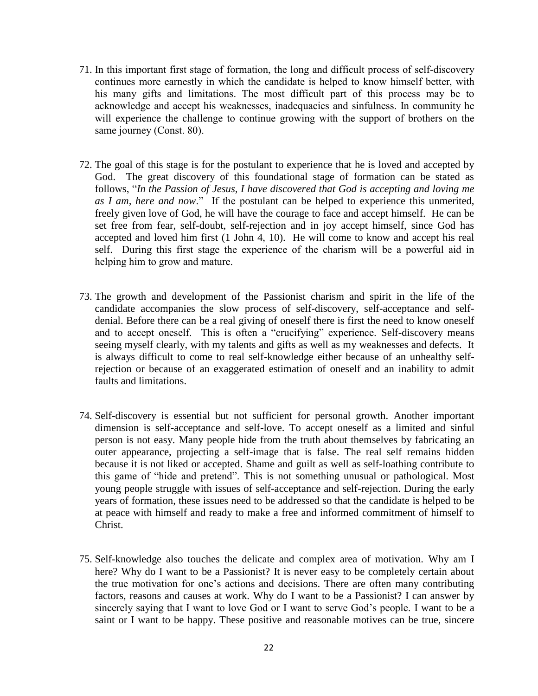- 71. In this important first stage of formation, the long and difficult process of self-discovery continues more earnestly in which the candidate is helped to know himself better, with his many gifts and limitations. The most difficult part of this process may be to acknowledge and accept his weaknesses, inadequacies and sinfulness. In community he will experience the challenge to continue growing with the support of brothers on the same journey (Const. 80).
- 72. The goal of this stage is for the postulant to experience that he is loved and accepted by God. The great discovery of this foundational stage of formation can be stated as follows, "*In the Passion of Jesus, I have discovered that God is accepting and loving me as I am, here and now*." If the postulant can be helped to experience this unmerited, freely given love of God, he will have the courage to face and accept himself. He can be set free from fear, self-doubt, self-rejection and in joy accept himself, since God has accepted and loved him first (1 John 4, 10). He will come to know and accept his real self. During this first stage the experience of the charism will be a powerful aid in helping him to grow and mature.
- 73. The growth and development of the Passionist charism and spirit in the life of the candidate accompanies the slow process of self-discovery, self-acceptance and selfdenial. Before there can be a real giving of oneself there is first the need to know oneself and to accept oneself. This is often a "crucifying" experience. Self-discovery means seeing myself clearly, with my talents and gifts as well as my weaknesses and defects. It is always difficult to come to real self-knowledge either because of an unhealthy selfrejection or because of an exaggerated estimation of oneself and an inability to admit faults and limitations.
- 74. Self-discovery is essential but not sufficient for personal growth. Another important dimension is self-acceptance and self-love. To accept oneself as a limited and sinful person is not easy. Many people hide from the truth about themselves by fabricating an outer appearance, projecting a self-image that is false. The real self remains hidden because it is not liked or accepted. Shame and guilt as well as self-loathing contribute to this game of "hide and pretend". This is not something unusual or pathological. Most young people struggle with issues of self-acceptance and self-rejection. During the early years of formation, these issues need to be addressed so that the candidate is helped to be at peace with himself and ready to make a free and informed commitment of himself to Christ.
- 75. Self-knowledge also touches the delicate and complex area of motivation. Why am I here? Why do I want to be a Passionist? It is never easy to be completely certain about the true motivation for one's actions and decisions. There are often many contributing factors, reasons and causes at work. Why do I want to be a Passionist? I can answer by sincerely saying that I want to love God or I want to serve God's people. I want to be a saint or I want to be happy. These positive and reasonable motives can be true, sincere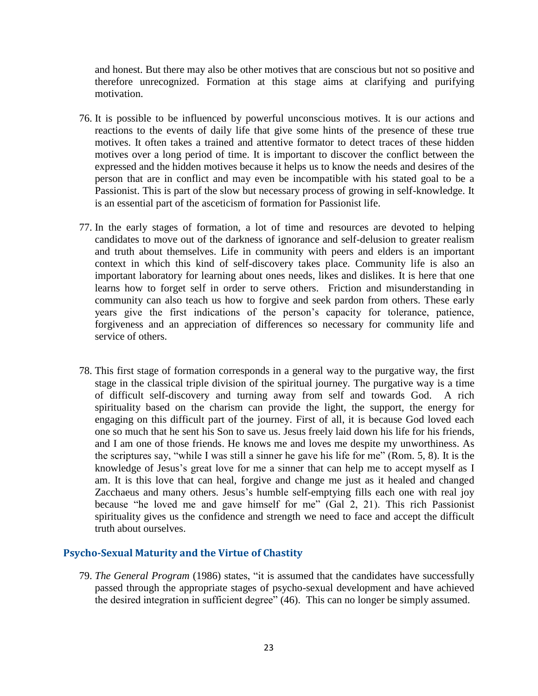and honest. But there may also be other motives that are conscious but not so positive and therefore unrecognized. Formation at this stage aims at clarifying and purifying motivation.

- 76. It is possible to be influenced by powerful unconscious motives. It is our actions and reactions to the events of daily life that give some hints of the presence of these true motives. It often takes a trained and attentive formator to detect traces of these hidden motives over a long period of time. It is important to discover the conflict between the expressed and the hidden motives because it helps us to know the needs and desires of the person that are in conflict and may even be incompatible with his stated goal to be a Passionist. This is part of the slow but necessary process of growing in self-knowledge. It is an essential part of the asceticism of formation for Passionist life.
- 77. In the early stages of formation, a lot of time and resources are devoted to helping candidates to move out of the darkness of ignorance and self-delusion to greater realism and truth about themselves. Life in community with peers and elders is an important context in which this kind of self-discovery takes place. Community life is also an important laboratory for learning about ones needs, likes and dislikes. It is here that one learns how to forget self in order to serve others. Friction and misunderstanding in community can also teach us how to forgive and seek pardon from others. These early years give the first indications of the person's capacity for tolerance, patience, forgiveness and an appreciation of differences so necessary for community life and service of others.
- 78. This first stage of formation corresponds in a general way to the purgative way, the first stage in the classical triple division of the spiritual journey. The purgative way is a time of difficult self-discovery and turning away from self and towards God. A rich spirituality based on the charism can provide the light, the support, the energy for engaging on this difficult part of the journey. First of all, it is because God loved each one so much that he sent his Son to save us. Jesus freely laid down his life for his friends, and I am one of those friends. He knows me and loves me despite my unworthiness. As the scriptures say, "while I was still a sinner he gave his life for me" (Rom. 5, 8). It is the knowledge of Jesus's great love for me a sinner that can help me to accept myself as I am. It is this love that can heal, forgive and change me just as it healed and changed Zacchaeus and many others. Jesus's humble self-emptying fills each one with real joy because "he loved me and gave himself for me" (Gal 2, 21). This rich Passionist spirituality gives us the confidence and strength we need to face and accept the difficult truth about ourselves.

#### **Psycho-Sexual Maturity and the Virtue of Chastity**

79. *The General Program* (1986) states, "it is assumed that the candidates have successfully passed through the appropriate stages of psycho-sexual development and have achieved the desired integration in sufficient degree" (46). This can no longer be simply assumed.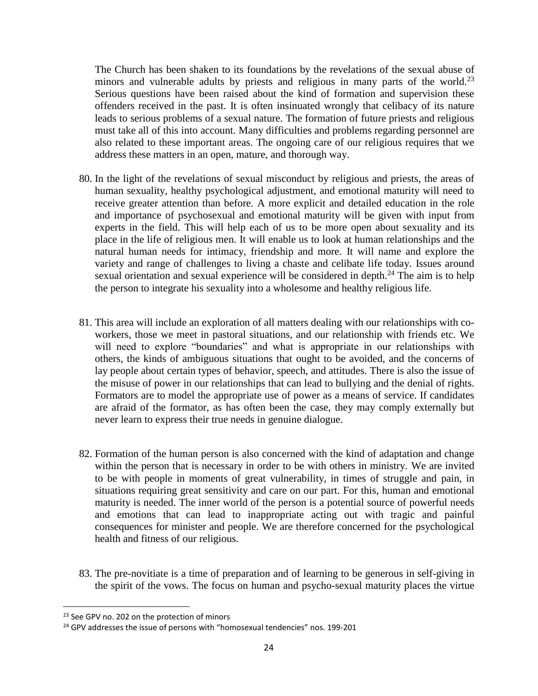The Church has been shaken to its foundations by the revelations of the sexual abuse of minors and vulnerable adults by priests and religious in many parts of the world.<sup>23</sup> Serious questions have been raised about the kind of formation and supervision these offenders received in the past. It is often insinuated wrongly that celibacy of its nature leads to serious problems of a sexual nature. The formation of future priests and religious must take all of this into account. Many difficulties and problems regarding personnel are also related to these important areas. The ongoing care of our religious requires that we address these matters in an open, mature, and thorough way.

- 80. In the light of the revelations of sexual misconduct by religious and priests, the areas of human sexuality, healthy psychological adjustment, and emotional maturity will need to receive greater attention than before. A more explicit and detailed education in the role and importance of psychosexual and emotional maturity will be given with input from experts in the field. This will help each of us to be more open about sexuality and its place in the life of religious men. It will enable us to look at human relationships and the natural human needs for intimacy, friendship and more. It will name and explore the variety and range of challenges to living a chaste and celibate life today. Issues around sexual orientation and sexual experience will be considered in depth. $^{24}$  The aim is to help the person to integrate his sexuality into a wholesome and healthy religious life.
- 81. This area will include an exploration of all matters dealing with our relationships with coworkers, those we meet in pastoral situations, and our relationship with friends etc. We will need to explore "boundaries" and what is appropriate in our relationships with others, the kinds of ambiguous situations that ought to be avoided, and the concerns of lay people about certain types of behavior, speech, and attitudes. There is also the issue of the misuse of power in our relationships that can lead to bullying and the denial of rights. Formators are to model the appropriate use of power as a means of service. If candidates are afraid of the formator, as has often been the case, they may comply externally but never learn to express their true needs in genuine dialogue.
- 82. Formation of the human person is also concerned with the kind of adaptation and change within the person that is necessary in order to be with others in ministry. We are invited to be with people in moments of great vulnerability, in times of struggle and pain, in situations requiring great sensitivity and care on our part. For this, human and emotional maturity is needed. The inner world of the person is a potential source of powerful needs and emotions that can lead to inappropriate acting out with tragic and painful consequences for minister and people. We are therefore concerned for the psychological health and fitness of our religious.
- 83. The pre-novitiate is a time of preparation and of learning to be generous in self-giving in the spirit of the vows. The focus on human and psycho-sexual maturity places the virtue

<sup>&</sup>lt;sup>23</sup> See GPV no. 202 on the protection of minors

<sup>&</sup>lt;sup>24</sup> GPV addresses the issue of persons with "homosexual tendencies" nos. 199-201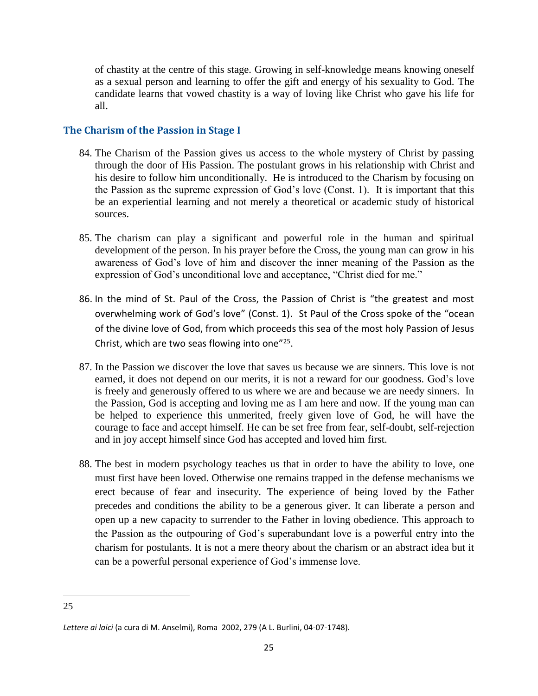of chastity at the centre of this stage. Growing in self-knowledge means knowing oneself as a sexual person and learning to offer the gift and energy of his sexuality to God. The candidate learns that vowed chastity is a way of loving like Christ who gave his life for all.

## **The Charism of the Passion in Stage I**

- 84. The Charism of the Passion gives us access to the whole mystery of Christ by passing through the door of His Passion. The postulant grows in his relationship with Christ and his desire to follow him unconditionally. He is introduced to the Charism by focusing on the Passion as the supreme expression of God's love (Const. 1). It is important that this be an experiential learning and not merely a theoretical or academic study of historical sources.
- 85. The charism can play a significant and powerful role in the human and spiritual development of the person. In his prayer before the Cross, the young man can grow in his awareness of God's love of him and discover the inner meaning of the Passion as the expression of God's unconditional love and acceptance, "Christ died for me."
- 86. In the mind of St. Paul of the Cross, the Passion of Christ is "the greatest and most overwhelming work of God's love" (Const. 1). St Paul of the Cross spoke of the "ocean of the divine love of God, from which proceeds this sea of the most holy Passion of Jesus Christ, which are two seas flowing into one"<sup>25</sup>.
- 87. In the Passion we discover the love that saves us because we are sinners. This love is not earned, it does not depend on our merits, it is not a reward for our goodness. God's love is freely and generously offered to us where we are and because we are needy sinners. In the Passion, God is accepting and loving me as I am here and now. If the young man can be helped to experience this unmerited, freely given love of God, he will have the courage to face and accept himself. He can be set free from fear, self-doubt, self-rejection and in joy accept himself since God has accepted and loved him first.
- 88. The best in modern psychology teaches us that in order to have the ability to love, one must first have been loved. Otherwise one remains trapped in the defense mechanisms we erect because of fear and insecurity. The experience of being loved by the Father precedes and conditions the ability to be a generous giver. It can liberate a person and open up a new capacity to surrender to the Father in loving obedience. This approach to the Passion as the outpouring of God's superabundant love is a powerful entry into the charism for postulants. It is not a mere theory about the charism or an abstract idea but it can be a powerful personal experience of God's immense love.

 $\overline{a}$ 25

*Lettere ai laici* (a cura di M. Anselmi), Roma 2002, 279 (A L. Burlini, 04-07-1748).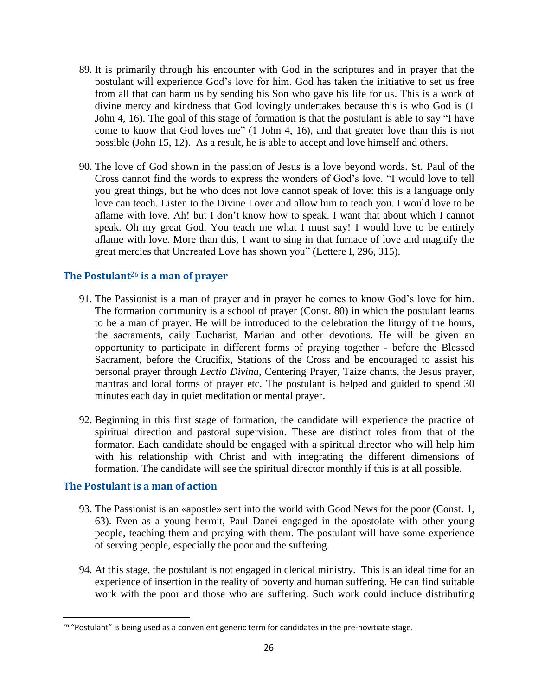- 89. It is primarily through his encounter with God in the scriptures and in prayer that the postulant will experience God's love for him. God has taken the initiative to set us free from all that can harm us by sending his Son who gave his life for us. This is a work of divine mercy and kindness that God lovingly undertakes because this is who God is (1 John 4, 16). The goal of this stage of formation is that the postulant is able to say "I have come to know that God loves me" (1 John 4, 16), and that greater love than this is not possible (John 15, 12). As a result, he is able to accept and love himself and others.
- 90. The love of God shown in the passion of Jesus is a love beyond words. St. Paul of the Cross cannot find the words to express the wonders of God's love. "I would love to tell you great things, but he who does not love cannot speak of love: this is a language only love can teach. Listen to the Divine Lover and allow him to teach you. I would love to be aflame with love. Ah! but I don't know how to speak. I want that about which I cannot speak. Oh my great God, You teach me what I must say! I would love to be entirely aflame with love. More than this, I want to sing in that furnace of love and magnify the great mercies that Uncreated Love has shown you" (Lettere I, 296, 315).

#### **The Postulant**<sup>26</sup> **is a man of prayer**

- 91. The Passionist is a man of prayer and in prayer he comes to know God's love for him. The formation community is a school of prayer (Const. 80) in which the postulant learns to be a man of prayer. He will be introduced to the celebration the liturgy of the hours, the sacraments, daily Eucharist, Marian and other devotions. He will be given an opportunity to participate in different forms of praying together - before the Blessed Sacrament, before the Crucifix, Stations of the Cross and be encouraged to assist his personal prayer through *Lectio Divina*, Centering Prayer, Taize chants, the Jesus prayer, mantras and local forms of prayer etc. The postulant is helped and guided to spend 30 minutes each day in quiet meditation or mental prayer.
- 92. Beginning in this first stage of formation, the candidate will experience the practice of spiritual direction and pastoral supervision. These are distinct roles from that of the formator. Each candidate should be engaged with a spiritual director who will help him with his relationship with Christ and with integrating the different dimensions of formation. The candidate will see the spiritual director monthly if this is at all possible.

#### **The Postulant is a man of action**

- 93. The Passionist is an «apostle» sent into the world with Good News for the poor (Const. 1, 63). Even as a young hermit, Paul Danei engaged in the apostolate with other young people, teaching them and praying with them. The postulant will have some experience of serving people, especially the poor and the suffering.
- 94. At this stage, the postulant is not engaged in clerical ministry. This is an ideal time for an experience of insertion in the reality of poverty and human suffering. He can find suitable work with the poor and those who are suffering. Such work could include distributing

<sup>&</sup>lt;sup>26</sup> "Postulant" is being used as a convenient generic term for candidates in the pre-novitiate stage.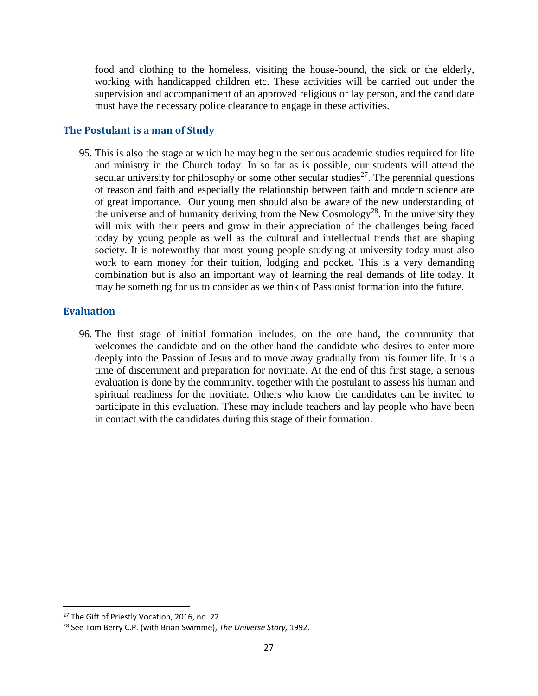food and clothing to the homeless, visiting the house-bound, the sick or the elderly, working with handicapped children etc. These activities will be carried out under the supervision and accompaniment of an approved religious or lay person, and the candidate must have the necessary police clearance to engage in these activities.

## **The Postulant is a man of Study**

95. This is also the stage at which he may begin the serious academic studies required for life and ministry in the Church today. In so far as is possible, our students will attend the secular university for philosophy or some other secular studies<sup>27</sup>. The perennial questions of reason and faith and especially the relationship between faith and modern science are of great importance. Our young men should also be aware of the new understanding of the universe and of humanity deriving from the New Cosmology<sup>28</sup>. In the university they will mix with their peers and grow in their appreciation of the challenges being faced today by young people as well as the cultural and intellectual trends that are shaping society. It is noteworthy that most young people studying at university today must also work to earn money for their tuition, lodging and pocket. This is a very demanding combination but is also an important way of learning the real demands of life today. It may be something for us to consider as we think of Passionist formation into the future.

## **Evaluation**

96. The first stage of initial formation includes, on the one hand, the community that welcomes the candidate and on the other hand the candidate who desires to enter more deeply into the Passion of Jesus and to move away gradually from his former life. It is a time of discernment and preparation for novitiate. At the end of this first stage, a serious evaluation is done by the community, together with the postulant to assess his human and spiritual readiness for the novitiate. Others who know the candidates can be invited to participate in this evaluation. These may include teachers and lay people who have been in contact with the candidates during this stage of their formation.

<sup>&</sup>lt;sup>27</sup> The Gift of Priestly Vocation, 2016, no. 22

<sup>28</sup> See Tom Berry C.P. (with Brian Swimme), *The Universe Story,* 1992.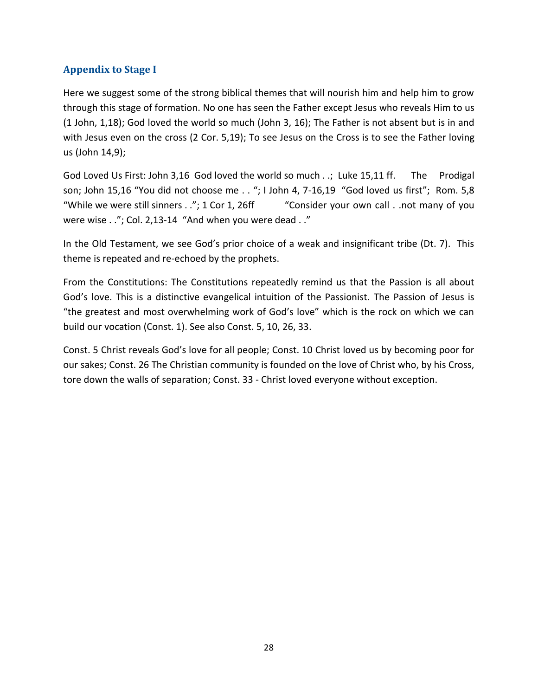# **Appendix to Stage I**

Here we suggest some of the strong biblical themes that will nourish him and help him to grow through this stage of formation. No one has seen the Father except Jesus who reveals Him to us (1 John, 1,18); God loved the world so much (John 3, 16); The Father is not absent but is in and with Jesus even on the cross (2 Cor. 5,19); To see Jesus on the Cross is to see the Father loving us (John 14,9);

God Loved Us First: John 3,16 God loved the world so much . .; Luke 15,11 ff. The Prodigal son; John 15,16 "You did not choose me . . "; I John 4, 7-16,19 "God loved us first"; Rom. 5,8 "While we were still sinners  $\ldots$ "; 1 Cor 1, 26ff "Consider your own call  $\ldots$  not many of you were wise . ."; Col. 2,13-14 "And when you were dead . ."

In the Old Testament, we see God's prior choice of a weak and insignificant tribe (Dt. 7). This theme is repeated and re-echoed by the prophets.

From the Constitutions: The Constitutions repeatedly remind us that the Passion is all about God's love. This is a distinctive evangelical intuition of the Passionist. The Passion of Jesus is "the greatest and most overwhelming work of God's love" which is the rock on which we can build our vocation (Const. 1). See also Const. 5, 10, 26, 33.

Const. 5 Christ reveals God's love for all people; Const. 10 Christ loved us by becoming poor for our sakes; Const. 26 The Christian community is founded on the love of Christ who, by his Cross, tore down the walls of separation; Const. 33 - Christ loved everyone without exception.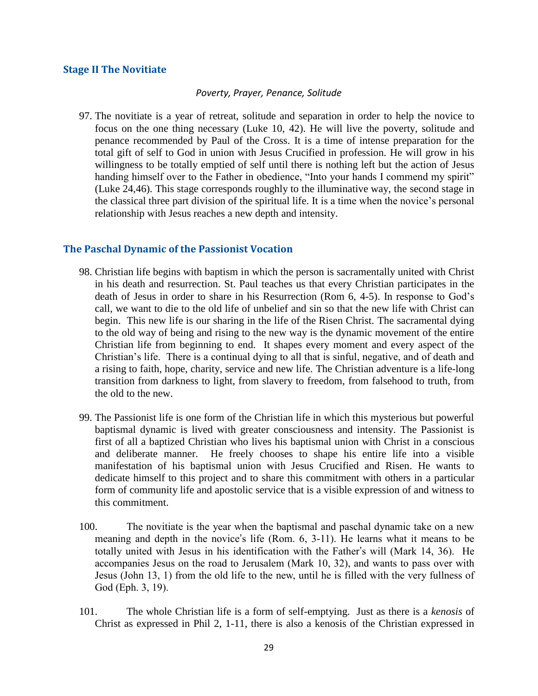#### **Stage II The Novitiate**

#### *Poverty, Prayer, Penance, Solitude*

97. The novitiate is a year of retreat, solitude and separation in order to help the novice to focus on the one thing necessary (Luke 10, 42). He will live the poverty, solitude and penance recommended by Paul of the Cross. It is a time of intense preparation for the total gift of self to God in union with Jesus Crucified in profession. He will grow in his willingness to be totally emptied of self until there is nothing left but the action of Jesus handing himself over to the Father in obedience, "Into your hands I commend my spirit" (Luke 24,46). This stage corresponds roughly to the illuminative way, the second stage in the classical three part division of the spiritual life. It is a time when the novice's personal relationship with Jesus reaches a new depth and intensity.

#### **The Paschal Dynamic of the Passionist Vocation**

- 98. Christian life begins with baptism in which the person is sacramentally united with Christ in his death and resurrection. St. Paul teaches us that every Christian participates in the death of Jesus in order to share in his Resurrection (Rom 6, 4-5). In response to God's call, we want to die to the old life of unbelief and sin so that the new life with Christ can begin. This new life is our sharing in the life of the Risen Christ. The sacramental dying to the old way of being and rising to the new way is the dynamic movement of the entire Christian life from beginning to end. It shapes every moment and every aspect of the Christian's life. There is a continual dying to all that is sinful, negative, and of death and a rising to faith, hope, charity, service and new life. The Christian adventure is a life-long transition from darkness to light, from slavery to freedom, from falsehood to truth, from the old to the new.
- 99. The Passionist life is one form of the Christian life in which this mysterious but powerful baptismal dynamic is lived with greater consciousness and intensity. The Passionist is first of all a baptized Christian who lives his baptismal union with Christ in a conscious and deliberate manner. He freely chooses to shape his entire life into a visible manifestation of his baptismal union with Jesus Crucified and Risen. He wants to dedicate himself to this project and to share this commitment with others in a particular form of community life and apostolic service that is a visible expression of and witness to this commitment.
- 100. The novitiate is the year when the baptismal and paschal dynamic take on a new meaning and depth in the novice's life (Rom. 6, 3-11). He learns what it means to be totally united with Jesus in his identification with the Father's will (Mark 14, 36). He accompanies Jesus on the road to Jerusalem (Mark 10, 32), and wants to pass over with Jesus (John 13, 1) from the old life to the new, until he is filled with the very fullness of God (Eph. 3, 19).
- 101. The whole Christian life is a form of self-emptying. Just as there is a *kenosis* of Christ as expressed in Phil 2, 1-11, there is also a kenosis of the Christian expressed in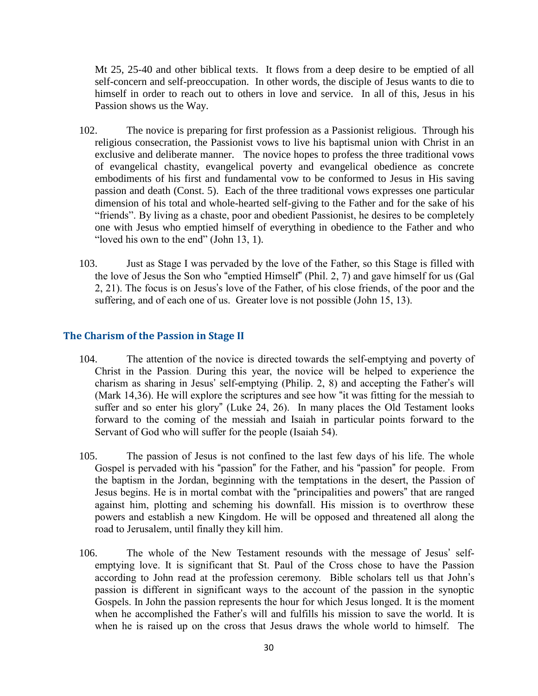Mt 25, 25-40 and other biblical texts. It flows from a deep desire to be emptied of all self-concern and self-preoccupation. In other words, the disciple of Jesus wants to die to himself in order to reach out to others in love and service. In all of this, Jesus in his Passion shows us the Way.

- 102. The novice is preparing for first profession as a Passionist religious. Through his religious consecration, the Passionist vows to live his baptismal union with Christ in an exclusive and deliberate manner. The novice hopes to profess the three traditional vows of evangelical chastity, evangelical poverty and evangelical obedience as concrete embodiments of his first and fundamental vow to be conformed to Jesus in His saving passion and death (Const. 5). Each of the three traditional vows expresses one particular dimension of his total and whole-hearted self-giving to the Father and for the sake of his "friends". By living as a chaste, poor and obedient Passionist, he desires to be completely one with Jesus who emptied himself of everything in obedience to the Father and who "loved his own to the end" (John 13, 1).
- 103. Just as Stage I was pervaded by the love of the Father, so this Stage is filled with the love of Jesus the Son who "emptied Himself" (Phil. 2, 7) and gave himself for us (Gal 2, 21). The focus is on Jesus's love of the Father, of his close friends, of the poor and the suffering, and of each one of us. Greater love is not possible (John 15, 13).

# **The Charism of the Passion in Stage II**

- 104. The attention of the novice is directed towards the self-emptying and poverty of Christ in the Passion. During this year, the novice will be helped to experience the charism as sharing in Jesus' self-emptying (Philip. 2, 8) and accepting the Father's will (Mark 14,36). He will explore the scriptures and see how "it was fitting for the messiah to suffer and so enter his glory" (Luke 24, 26). In many places the Old Testament looks forward to the coming of the messiah and Isaiah in particular points forward to the Servant of God who will suffer for the people (Isaiah 54).
- 105. The passion of Jesus is not confined to the last few days of his life. The whole Gospel is pervaded with his "passion" for the Father, and his "passion" for people. From the baptism in the Jordan, beginning with the temptations in the desert, the Passion of Jesus begins. He is in mortal combat with the "principalities and powers" that are ranged against him, plotting and scheming his downfall. His mission is to overthrow these powers and establish a new Kingdom. He will be opposed and threatened all along the road to Jerusalem, until finally they kill him.
- 106. The whole of the New Testament resounds with the message of Jesus' selfemptying love. It is significant that St. Paul of the Cross chose to have the Passion according to John read at the profession ceremony. Bible scholars tell us that John's passion is different in significant ways to the account of the passion in the synoptic Gospels. In John the passion represents the hour for which Jesus longed. It is the moment when he accomplished the Father's will and fulfills his mission to save the world. It is when he is raised up on the cross that Jesus draws the whole world to himself. The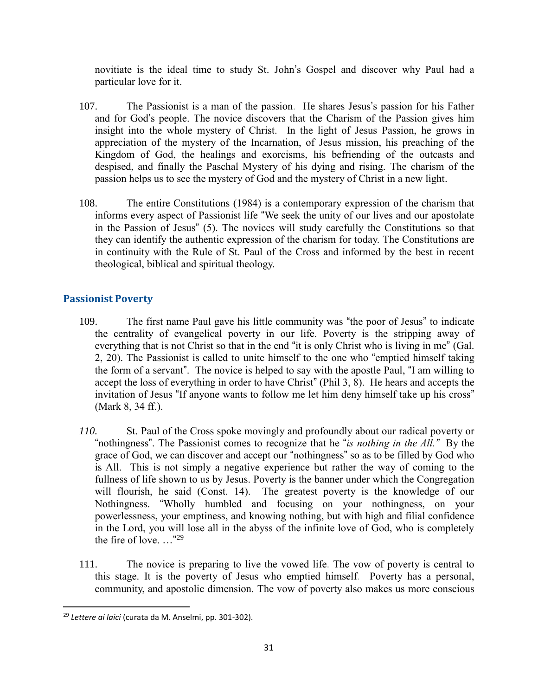novitiate is the ideal time to study St. John's Gospel and discover why Paul had a particular love for it.

- 107. The Passionist is a man of the passion. He shares Jesus's passion for his Father and for God's people. The novice discovers that the Charism of the Passion gives him insight into the whole mystery of Christ. In the light of Jesus Passion, he grows in appreciation of the mystery of the Incarnation, of Jesus mission, his preaching of the Kingdom of God, the healings and exorcisms, his befriending of the outcasts and despised, and finally the Paschal Mystery of his dying and rising. The charism of the passion helps us to see the mystery of God and the mystery of Christ in a new light.
- 108. The entire Constitutions (1984) is a contemporary expression of the charism that informs every aspect of Passionist life "We seek the unity of our lives and our apostolate in the Passion of Jesus" (5). The novices will study carefully the Constitutions so that they can identify the authentic expression of the charism for today. The Constitutions are in continuity with the Rule of St. Paul of the Cross and informed by the best in recent theological, biblical and spiritual theology.

# **Passionist Poverty**

- 109. The first name Paul gave his little community was "the poor of Jesus" to indicate the centrality of evangelical poverty in our life. Poverty is the stripping away of everything that is not Christ so that in the end "it is only Christ who is living in me" (Gal. 2, 20). The Passionist is called to unite himself to the one who "emptied himself taking the form of a servant". The novice is helped to say with the apostle Paul, "I am willing to accept the loss of everything in order to have Christ" (Phil 3, 8). He hears and accepts the invitation of Jesus "If anyone wants to follow me let him deny himself take up his cross" (Mark 8, 34 ff.).
- *110.* St. Paul of the Cross spoke movingly and profoundly about our radical poverty or "nothingness". The Passionist comes to recognize that he "*is nothing in the All."* By the grace of God, we can discover and accept our "nothingness" so as to be filled by God who is All. This is not simply a negative experience but rather the way of coming to the fullness of life shown to us by Jesus. Poverty is the banner under which the Congregation will flourish, he said (Const. 14). The greatest poverty is the knowledge of our Nothingness. "Wholly humbled and focusing on your nothingness, on your powerlessness, your emptiness, and knowing nothing, but with high and filial confidence in the Lord, you will lose all in the abyss of the infinite love of God, who is completely the fire of love.  $\ldots$ <sup>"29</sup>
- 111. The novice is preparing to live the vowed life. The vow of poverty is central to this stage. It is the poverty of Jesus who emptied himself. Poverty has a personal, community, and apostolic dimension. The vow of poverty also makes us more conscious

<sup>29</sup> *Lettere ai laici* (curata da M. Anselmi, pp. 301-302).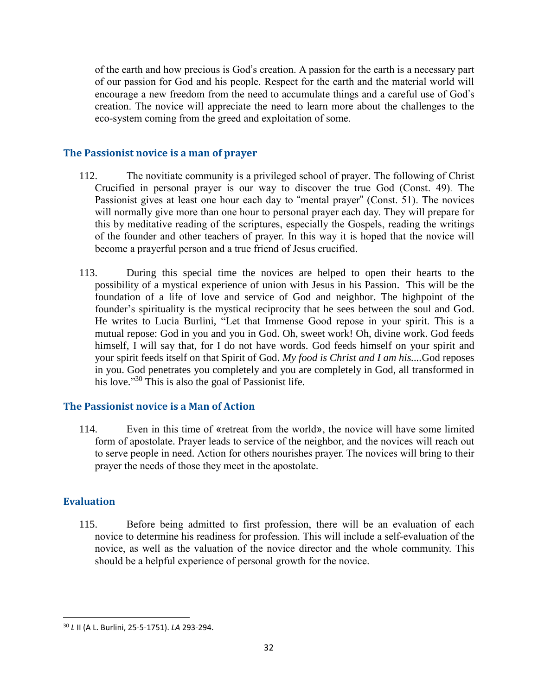of the earth and how precious is God's creation. A passion for the earth is a necessary part of our passion for God and his people. Respect for the earth and the material world will encourage a new freedom from the need to accumulate things and a careful use of God's creation. The novice will appreciate the need to learn more about the challenges to the eco-system coming from the greed and exploitation of some.

## **The Passionist novice is a man of prayer**

- 112. The novitiate community is a privileged school of prayer. The following of Christ Crucified in personal prayer is our way to discover the true God (Const. 49). The Passionist gives at least one hour each day to "mental prayer" (Const. 51). The novices will normally give more than one hour to personal prayer each day. They will prepare for this by meditative reading of the scriptures, especially the Gospels, reading the writings of the founder and other teachers of prayer. In this way it is hoped that the novice will become a prayerful person and a true friend of Jesus crucified.
- 113. During this special time the novices are helped to open their hearts to the possibility of a mystical experience of union with Jesus in his Passion. This will be the foundation of a life of love and service of God and neighbor. The highpoint of the founder's spirituality is the mystical reciprocity that he sees between the soul and God. He writes to Lucia Burlini, "Let that Immense Good repose in your spirit. This is a mutual repose: God in you and you in God. Oh, sweet work! Oh, divine work. God feeds himself, I will say that, for I do not have words. God feeds himself on your spirit and your spirit feeds itself on that Spirit of God. *My food is Christ and I am his....*God reposes in you. God penetrates you completely and you are completely in God, all transformed in his love."<sup>30</sup> This is also the goal of Passionist life.

#### **The Passionist novice is a Man of Action**

114. Even in this time of «retreat from the world», the novice will have some limited form of apostolate. Prayer leads to service of the neighbor, and the novices will reach out to serve people in need. Action for others nourishes prayer. The novices will bring to their prayer the needs of those they meet in the apostolate.

# **Evaluation**

 $\overline{\phantom{a}}$ 

115. Before being admitted to first profession, there will be an evaluation of each novice to determine his readiness for profession. This will include a self-evaluation of the novice, as well as the valuation of the novice director and the whole community. This should be a helpful experience of personal growth for the novice.

<sup>30</sup> *L* II (A L. Burlini, 25-5-1751). *LA* 293-294.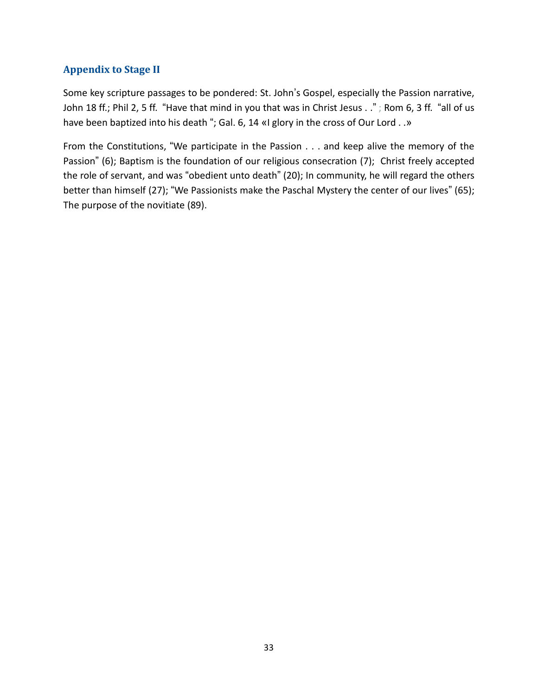# **Appendix to Stage II**

Some key scripture passages to be pondered: St. John's Gospel, especially the Passion narrative, John 18 ff.; Phil 2, 5 ff. "Have that mind in you that was in Christ Jesus . ."; Rom 6, 3 ff. "all of us have been baptized into his death "; Gal. 6, 14 «I glory in the cross of Our Lord . .»

From the Constitutions, "We participate in the Passion . . . and keep alive the memory of the Passion" (6); Baptism is the foundation of our religious consecration (7); Christ freely accepted the role of servant, and was "obedient unto death" (20); In community, he will regard the others better than himself (27); "We Passionists make the Paschal Mystery the center of our lives" (65); The purpose of the novitiate (89).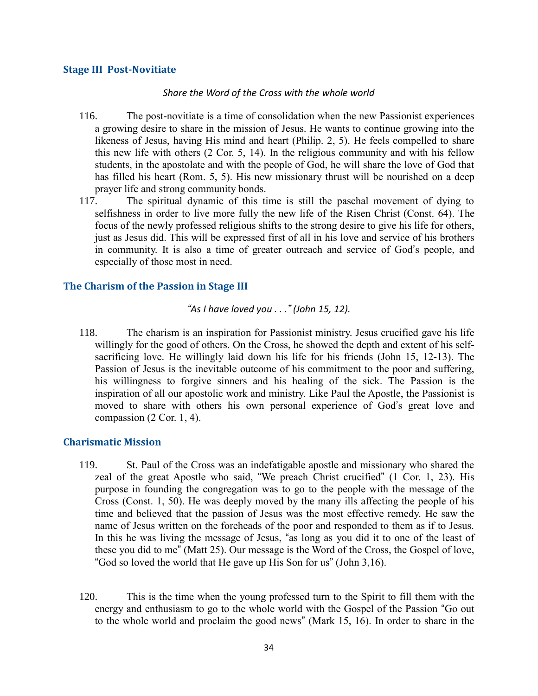#### **Stage III Post-Novitiate**

#### *Share the Word of the Cross with the whole world*

- 116. The post-novitiate is a time of consolidation when the new Passionist experiences a growing desire to share in the mission of Jesus. He wants to continue growing into the likeness of Jesus, having His mind and heart (Philip. 2, 5). He feels compelled to share this new life with others (2 Cor. 5, 14). In the religious community and with his fellow students, in the apostolate and with the people of God, he will share the love of God that has filled his heart (Rom. 5, 5). His new missionary thrust will be nourished on a deep prayer life and strong community bonds.
- 117. The spiritual dynamic of this time is still the paschal movement of dying to selfishness in order to live more fully the new life of the Risen Christ (Const. 64). The focus of the newly professed religious shifts to the strong desire to give his life for others, just as Jesus did. This will be expressed first of all in his love and service of his brothers in community. It is also a time of greater outreach and service of God's people, and especially of those most in need.

#### **The Charism of the Passion in Stage III**

#### *"As I have loved you . . ." (John 15, 12).*

118. The charism is an inspiration for Passionist ministry. Jesus crucified gave his life willingly for the good of others. On the Cross, he showed the depth and extent of his selfsacrificing love. He willingly laid down his life for his friends (John 15, 12-13). The Passion of Jesus is the inevitable outcome of his commitment to the poor and suffering, his willingness to forgive sinners and his healing of the sick. The Passion is the inspiration of all our apostolic work and ministry. Like Paul the Apostle, the Passionist is moved to share with others his own personal experience of God's great love and compassion  $(2 \text{Cor. } 1, 4)$ .

#### **Charismatic Mission**

- 119. St. Paul of the Cross was an indefatigable apostle and missionary who shared the zeal of the great Apostle who said, "We preach Christ crucified" (1 Cor. 1, 23). His purpose in founding the congregation was to go to the people with the message of the Cross (Const. 1, 50). He was deeply moved by the many ills affecting the people of his time and believed that the passion of Jesus was the most effective remedy. He saw the name of Jesus written on the foreheads of the poor and responded to them as if to Jesus. In this he was living the message of Jesus, "as long as you did it to one of the least of these you did to me" (Matt 25). Our message is the Word of the Cross, the Gospel of love, "God so loved the world that He gave up His Son for us" (John 3,16).
- 120. This is the time when the young professed turn to the Spirit to fill them with the energy and enthusiasm to go to the whole world with the Gospel of the Passion "Go out to the whole world and proclaim the good news" (Mark 15, 16). In order to share in the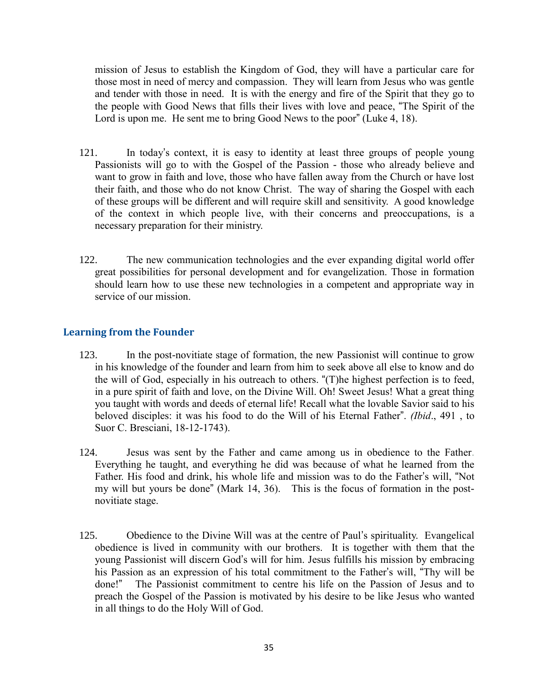mission of Jesus to establish the Kingdom of God, they will have a particular care for those most in need of mercy and compassion. They will learn from Jesus who was gentle and tender with those in need. It is with the energy and fire of the Spirit that they go to the people with Good News that fills their lives with love and peace, "The Spirit of the Lord is upon me. He sent me to bring Good News to the poor" (Luke 4, 18).

- 121. In today's context, it is easy to identity at least three groups of people young Passionists will go to with the Gospel of the Passion - those who already believe and want to grow in faith and love, those who have fallen away from the Church or have lost their faith, and those who do not know Christ. The way of sharing the Gospel with each of these groups will be different and will require skill and sensitivity. A good knowledge of the context in which people live, with their concerns and preoccupations, is a necessary preparation for their ministry.
- 122. The new communication technologies and the ever expanding digital world offer great possibilities for personal development and for evangelization. Those in formation should learn how to use these new technologies in a competent and appropriate way in service of our mission.

## **Learning from the Founder**

- 123. In the post-novitiate stage of formation, the new Passionist will continue to grow in his knowledge of the founder and learn from him to seek above all else to know and do the will of God, especially in his outreach to others. "(T)he highest perfection is to feed, in a pure spirit of faith and love, on the Divine Will. Oh! Sweet Jesus! What a great thing you taught with words and deeds of eternal life! Recall what the lovable Savior said to his beloved disciples: it was his food to do the Will of his Eternal Father". *(Ibid*., 491 , to Suor C. Bresciani, 18-12-1743).
- 124. Jesus was sent by the Father and came among us in obedience to the Father. Everything he taught, and everything he did was because of what he learned from the Father. His food and drink, his whole life and mission was to do the Father's will, "Not my will but yours be done" (Mark 14, 36). This is the focus of formation in the postnovitiate stage.
- 125. Obedience to the Divine Will was at the centre of Paul's spirituality. Evangelical obedience is lived in community with our brothers. It is together with them that the young Passionist will discern God's will for him. Jesus fulfills his mission by embracing his Passion as an expression of his total commitment to the Father's will, "Thy will be done!" The Passionist commitment to centre his life on the Passion of Jesus and to preach the Gospel of the Passion is motivated by his desire to be like Jesus who wanted in all things to do the Holy Will of God.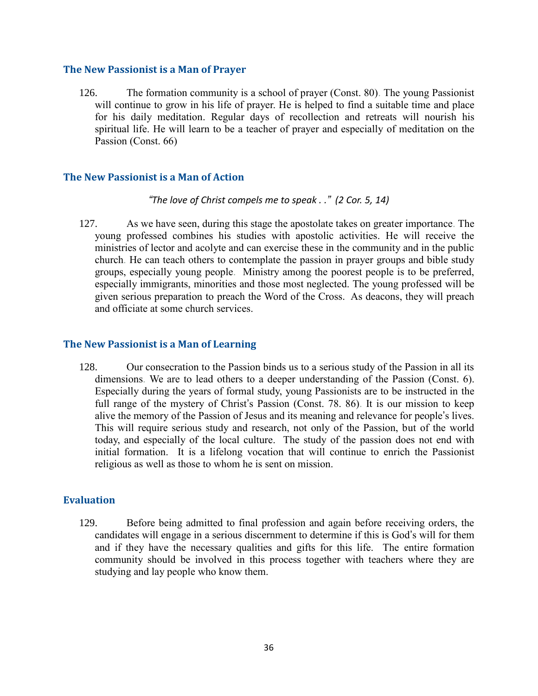#### **The New Passionist is a Man of Prayer**

126. The formation community is a school of prayer (Const. 80). The young Passionist will continue to grow in his life of prayer. He is helped to find a suitable time and place for his daily meditation. Regular days of recollection and retreats will nourish his spiritual life. He will learn to be a teacher of prayer and especially of meditation on the Passion (Const. 66)

#### **The New Passionist is a Man of Action**

*"The love of Christ compels me to speak . ." (2 Cor. 5, 14)*

127. As we have seen, during this stage the apostolate takes on greater importance. The young professed combines his studies with apostolic activities. He will receive the ministries of lector and acolyte and can exercise these in the community and in the public church. He can teach others to contemplate the passion in prayer groups and bible study groups, especially young people. Ministry among the poorest people is to be preferred, especially immigrants, minorities and those most neglected. The young professed will be given serious preparation to preach the Word of the Cross. As deacons, they will preach and officiate at some church services.

#### **The New Passionist is a Man of Learning**

128. Our consecration to the Passion binds us to a serious study of the Passion in all its dimensions. We are to lead others to a deeper understanding of the Passion (Const. 6). Especially during the years of formal study, young Passionists are to be instructed in the full range of the mystery of Christ's Passion (Const. 78. 86). It is our mission to keep alive the memory of the Passion of Jesus and its meaning and relevance for people's lives. This will require serious study and research, not only of the Passion, but of the world today, and especially of the local culture. The study of the passion does not end with initial formation. It is a lifelong vocation that will continue to enrich the Passionist religious as well as those to whom he is sent on mission.

# **Evaluation**

129. Before being admitted to final profession and again before receiving orders, the candidates will engage in a serious discernment to determine if this is God's will for them and if they have the necessary qualities and gifts for this life. The entire formation community should be involved in this process together with teachers where they are studying and lay people who know them.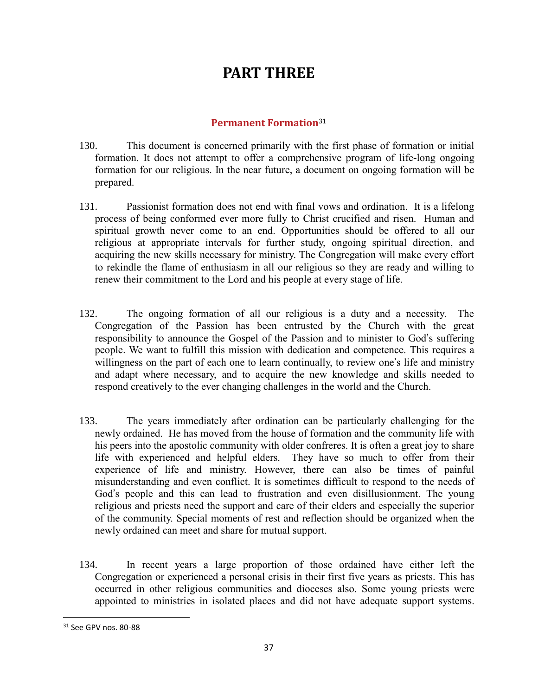# **PART THREE**

# **Permanent Formation**<sup>31</sup>

- 130. This document is concerned primarily with the first phase of formation or initial formation. It does not attempt to offer a comprehensive program of life-long ongoing formation for our religious. In the near future, a document on ongoing formation will be prepared.
- 131. Passionist formation does not end with final vows and ordination. It is a lifelong process of being conformed ever more fully to Christ crucified and risen. Human and spiritual growth never come to an end. Opportunities should be offered to all our religious at appropriate intervals for further study, ongoing spiritual direction, and acquiring the new skills necessary for ministry. The Congregation will make every effort to rekindle the flame of enthusiasm in all our religious so they are ready and willing to renew their commitment to the Lord and his people at every stage of life.
- 132. The ongoing formation of all our religious is a duty and a necessity. The Congregation of the Passion has been entrusted by the Church with the great responsibility to announce the Gospel of the Passion and to minister to God's suffering people. We want to fulfill this mission with dedication and competence. This requires a willingness on the part of each one to learn continually, to review one's life and ministry and adapt where necessary, and to acquire the new knowledge and skills needed to respond creatively to the ever changing challenges in the world and the Church.
- 133. The years immediately after ordination can be particularly challenging for the newly ordained. He has moved from the house of formation and the community life with his peers into the apostolic community with older confreres. It is often a great joy to share life with experienced and helpful elders. They have so much to offer from their experience of life and ministry. However, there can also be times of painful misunderstanding and even conflict. It is sometimes difficult to respond to the needs of God's people and this can lead to frustration and even disillusionment. The young religious and priests need the support and care of their elders and especially the superior of the community. Special moments of rest and reflection should be organized when the newly ordained can meet and share for mutual support.
- 134. In recent years a large proportion of those ordained have either left the Congregation or experienced a personal crisis in their first five years as priests. This has occurred in other religious communities and dioceses also. Some young priests were appointed to ministries in isolated places and did not have adequate support systems.

<sup>31</sup> See GPV nos. 80-88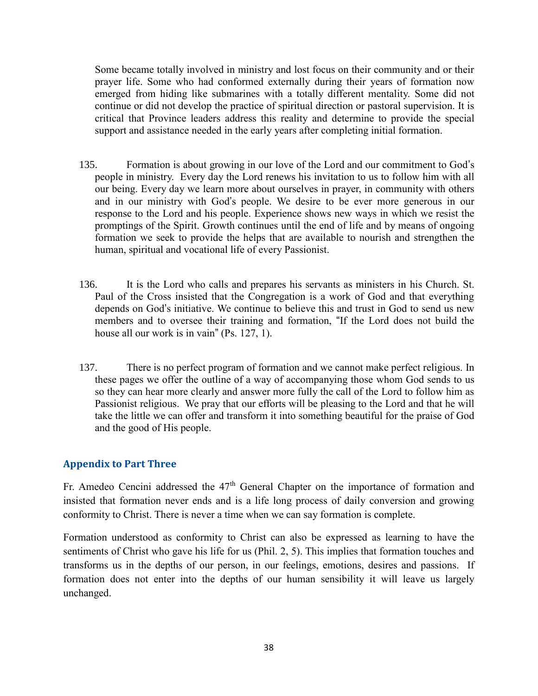Some became totally involved in ministry and lost focus on their community and or their prayer life. Some who had conformed externally during their years of formation now emerged from hiding like submarines with a totally different mentality. Some did not continue or did not develop the practice of spiritual direction or pastoral supervision. It is critical that Province leaders address this reality and determine to provide the special support and assistance needed in the early years after completing initial formation.

- 135. Formation is about growing in our love of the Lord and our commitment to God's people in ministry. Every day the Lord renews his invitation to us to follow him with all our being. Every day we learn more about ourselves in prayer, in community with others and in our ministry with God's people. We desire to be ever more generous in our response to the Lord and his people. Experience shows new ways in which we resist the promptings of the Spirit. Growth continues until the end of life and by means of ongoing formation we seek to provide the helps that are available to nourish and strengthen the human, spiritual and vocational life of every Passionist.
- 136. It is the Lord who calls and prepares his servants as ministers in his Church. St. Paul of the Cross insisted that the Congregation is a work of God and that everything depends on God's initiative. We continue to believe this and trust in God to send us new members and to oversee their training and formation, "If the Lord does not build the house all our work is in vain" (Ps. 127, 1).
- 137. There is no perfect program of formation and we cannot make perfect religious. In these pages we offer the outline of a way of accompanying those whom God sends to us so they can hear more clearly and answer more fully the call of the Lord to follow him as Passionist religious. We pray that our efforts will be pleasing to the Lord and that he will take the little we can offer and transform it into something beautiful for the praise of God and the good of His people.

# **Appendix to Part Three**

Fr. Amedeo Cencini addressed the  $47<sup>th</sup>$  General Chapter on the importance of formation and insisted that formation never ends and is a life long process of daily conversion and growing conformity to Christ. There is never a time when we can say formation is complete.

Formation understood as conformity to Christ can also be expressed as learning to have the sentiments of Christ who gave his life for us (Phil. 2, 5). This implies that formation touches and transforms us in the depths of our person, in our feelings, emotions, desires and passions. If formation does not enter into the depths of our human sensibility it will leave us largely unchanged.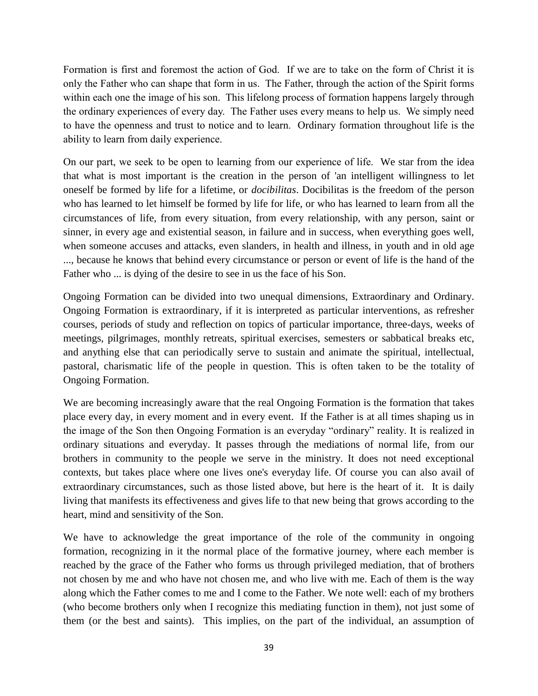Formation is first and foremost the action of God. If we are to take on the form of Christ it is only the Father who can shape that form in us. The Father, through the action of the Spirit forms within each one the image of his son. This lifelong process of formation happens largely through the ordinary experiences of every day. The Father uses every means to help us. We simply need to have the openness and trust to notice and to learn. Ordinary formation throughout life is the ability to learn from daily experience.

On our part, we seek to be open to learning from our experience of life. We star from the idea that what is most important is the creation in the person of 'an intelligent willingness to let oneself be formed by life for a lifetime, or *docibilitas*. Docibilitas is the freedom of the person who has learned to let himself be formed by life for life, or who has learned to learn from all the circumstances of life, from every situation, from every relationship, with any person, saint or sinner, in every age and existential season, in failure and in success, when everything goes well, when someone accuses and attacks, even slanders, in health and illness, in youth and in old age ..., because he knows that behind every circumstance or person or event of life is the hand of the Father who ... is dying of the desire to see in us the face of his Son.

Ongoing Formation can be divided into two unequal dimensions, Extraordinary and Ordinary. Ongoing Formation is extraordinary, if it is interpreted as particular interventions, as refresher courses, periods of study and reflection on topics of particular importance, three-days, weeks of meetings, pilgrimages, monthly retreats, spiritual exercises, semesters or sabbatical breaks etc, and anything else that can periodically serve to sustain and animate the spiritual, intellectual, pastoral, charismatic life of the people in question. This is often taken to be the totality of Ongoing Formation.

We are becoming increasingly aware that the real Ongoing Formation is the formation that takes place every day, in every moment and in every event. If the Father is at all times shaping us in the image of the Son then Ongoing Formation is an everyday "ordinary" reality. It is realized in ordinary situations and everyday. It passes through the mediations of normal life, from our brothers in community to the people we serve in the ministry. It does not need exceptional contexts, but takes place where one lives one's everyday life. Of course you can also avail of extraordinary circumstances, such as those listed above, but here is the heart of it. It is daily living that manifests its effectiveness and gives life to that new being that grows according to the heart, mind and sensitivity of the Son.

We have to acknowledge the great importance of the role of the community in ongoing formation, recognizing in it the normal place of the formative journey, where each member is reached by the grace of the Father who forms us through privileged mediation, that of brothers not chosen by me and who have not chosen me, and who live with me. Each of them is the way along which the Father comes to me and I come to the Father. We note well: each of my brothers (who become brothers only when I recognize this mediating function in them), not just some of them (or the best and saints). This implies, on the part of the individual, an assumption of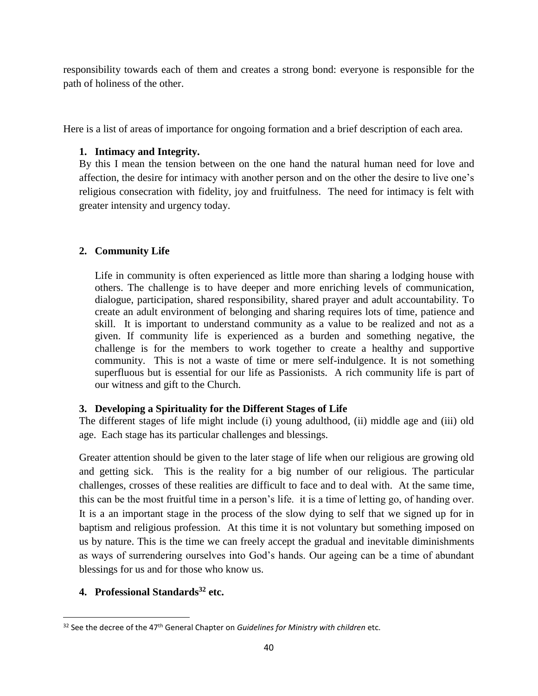responsibility towards each of them and creates a strong bond: everyone is responsible for the path of holiness of the other.

Here is a list of areas of importance for ongoing formation and a brief description of each area.

# **1. Intimacy and Integrity.**

By this I mean the tension between on the one hand the natural human need for love and affection, the desire for intimacy with another person and on the other the desire to live one's religious consecration with fidelity, joy and fruitfulness. The need for intimacy is felt with greater intensity and urgency today.

# **2. Community Life**

Life in community is often experienced as little more than sharing a lodging house with others. The challenge is to have deeper and more enriching levels of communication, dialogue, participation, shared responsibility, shared prayer and adult accountability. To create an adult environment of belonging and sharing requires lots of time, patience and skill. It is important to understand community as a value to be realized and not as a given. If community life is experienced as a burden and something negative, the challenge is for the members to work together to create a healthy and supportive community. This is not a waste of time or mere self-indulgence. It is not something superfluous but is essential for our life as Passionists. A rich community life is part of our witness and gift to the Church.

# **3. Developing a Spirituality for the Different Stages of Life**

The different stages of life might include (i) young adulthood, (ii) middle age and (iii) old age. Each stage has its particular challenges and blessings.

Greater attention should be given to the later stage of life when our religious are growing old and getting sick. This is the reality for a big number of our religious. The particular challenges, crosses of these realities are difficult to face and to deal with. At the same time, this can be the most fruitful time in a person's life. it is a time of letting go, of handing over. It is a an important stage in the process of the slow dying to self that we signed up for in baptism and religious profession. At this time it is not voluntary but something imposed on us by nature. This is the time we can freely accept the gradual and inevitable diminishments as ways of surrendering ourselves into God's hands. Our ageing can be a time of abundant blessings for us and for those who know us.

# **4. Professional Standards<sup>32</sup> etc.**

<sup>&</sup>lt;sup>32</sup> See the decree of the 47<sup>th</sup> General Chapter on *Guidelines for Ministry with children* etc.